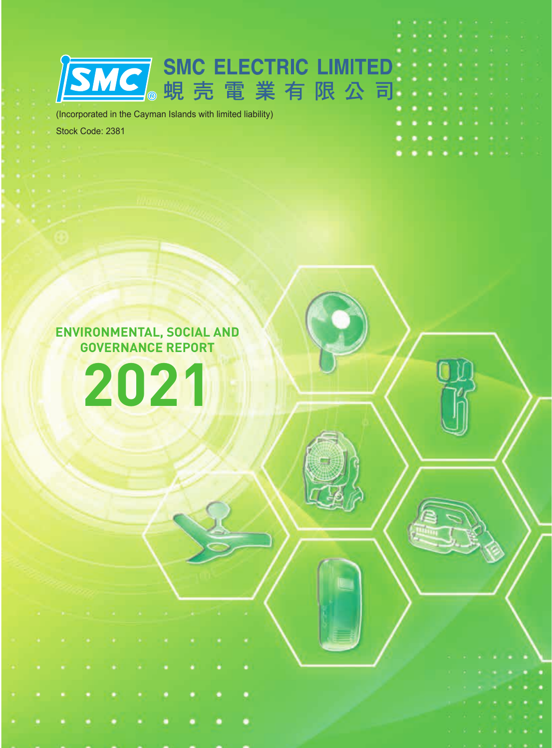(Incorporated in the Cayman Islands with limited liability)

**SMC**。蜆壳電業有限公司

Stock Code: 2381

**ENVIRONMENTAL, SOCIAL AND GOVERNANCE REPORT**

**2021**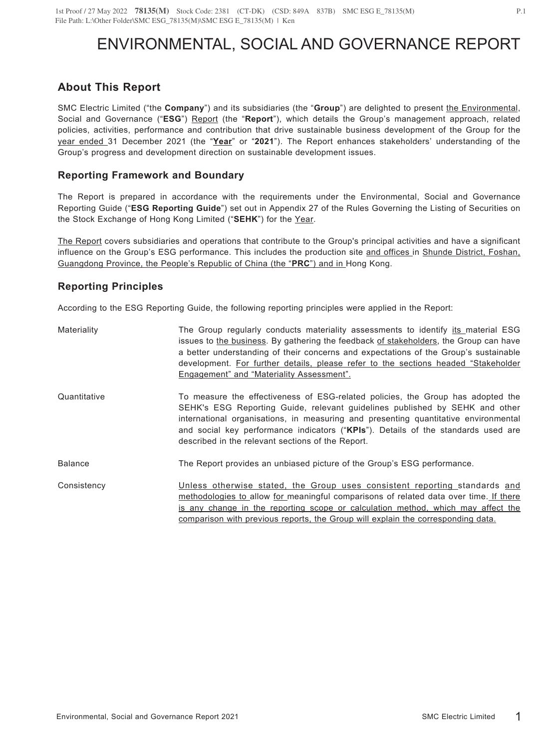# ENVIRONMENTAL, SOCIAL AND GOVERNANCE REPORT

## **About This Report**

SMC Electric Limited ("the **Company**") and its subsidiaries (the "**Group**") are delighted to present the Environmental, Social and Governance ("**ESG**") Report (the "**Report**"), which details the Group's management approach, related policies, activities, performance and contribution that drive sustainable business development of the Group for the year ended 31 December 2021 (the "**Year**" or "**2021**"). The Report enhances stakeholders' understanding of the Group's progress and development direction on sustainable development issues.

## **Reporting Framework and Boundary**

The Report is prepared in accordance with the requirements under the Environmental, Social and Governance Reporting Guide ("**ESG Reporting Guide**") set out in Appendix 27 of the Rules Governing the Listing of Securities on the Stock Exchange of Hong Kong Limited ("**SEHK**") for the Year.

The Report covers subsidiaries and operations that contribute to the Group's principal activities and have a significant influence on the Group's ESG performance. This includes the production site and offices in Shunde District, Foshan, Guangdong Province, the People's Republic of China (the "**PRC**") and in Hong Kong.

## **Reporting Principles**

According to the ESG Reporting Guide, the following reporting principles were applied in the Report:

| Materiality    | The Group regularly conducts materiality assessments to identify its material ESG<br>issues to the business. By gathering the feedback of stakeholders, the Group can have<br>a better understanding of their concerns and expectations of the Group's sustainable<br>development. For further details, please refer to the sections headed "Stakeholder<br>Engagement" and "Materiality Assessment". |
|----------------|-------------------------------------------------------------------------------------------------------------------------------------------------------------------------------------------------------------------------------------------------------------------------------------------------------------------------------------------------------------------------------------------------------|
| Quantitative   | To measure the effectiveness of ESG-related policies, the Group has adopted the<br>SEHK's ESG Reporting Guide, relevant guidelines published by SEHK and other<br>international organisations, in measuring and presenting quantitative environmental<br>and social key performance indicators ("KPIs"). Details of the standards used are<br>described in the relevant sections of the Report.       |
| <b>Balance</b> | The Report provides an unbiased picture of the Group's ESG performance.                                                                                                                                                                                                                                                                                                                               |
| Consistency    | Unless otherwise stated, the Group uses consistent reporting standards and<br>methodologies to allow for meaningful comparisons of related data over time. If there<br>is any change in the reporting scope or calculation method, which may affect the<br>comparison with previous reports, the Group will explain the corresponding data.                                                           |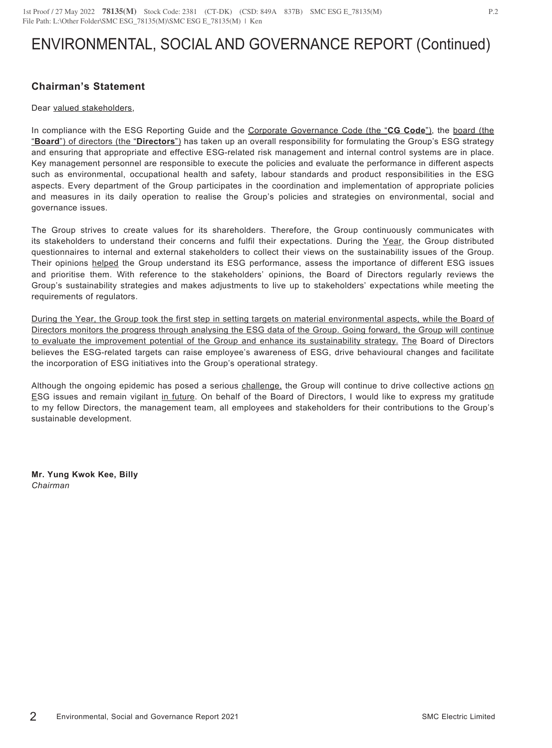## **Chairman's Statement**

#### Dear valued stakeholders,

In compliance with the ESG Reporting Guide and the Corporate Governance Code (the "**CG Code**"), the board (the "**Board**") of directors (the "**Directors**") has taken up an overall responsibility for formulating the Group's ESG strategy and ensuring that appropriate and effective ESG-related risk management and internal control systems are in place. Key management personnel are responsible to execute the policies and evaluate the performance in different aspects such as environmental, occupational health and safety, labour standards and product responsibilities in the ESG aspects. Every department of the Group participates in the coordination and implementation of appropriate policies and measures in its daily operation to realise the Group's policies and strategies on environmental, social and governance issues.

The Group strives to create values for its shareholders. Therefore, the Group continuously communicates with its stakeholders to understand their concerns and fulfil their expectations. During the Year, the Group distributed questionnaires to internal and external stakeholders to collect their views on the sustainability issues of the Group. Their opinions helped the Group understand its ESG performance, assess the importance of different ESG issues and prioritise them. With reference to the stakeholders' opinions, the Board of Directors regularly reviews the Group's sustainability strategies and makes adjustments to live up to stakeholders' expectations while meeting the requirements of regulators.

During the Year, the Group took the first step in setting targets on material environmental aspects, while the Board of Directors monitors the progress through analysing the ESG data of the Group. Going forward, the Group will continue to evaluate the improvement potential of the Group and enhance its sustainability strategy. The Board of Directors believes the ESG-related targets can raise employee's awareness of ESG, drive behavioural changes and facilitate the incorporation of ESG initiatives into the Group's operational strategy.

Although the ongoing epidemic has posed a serious challenge, the Group will continue to drive collective actions on ESG issues and remain vigilant in future. On behalf of the Board of Directors, I would like to express my gratitude to my fellow Directors, the management team, all employees and stakeholders for their contributions to the Group's sustainable development.

**Mr. Yung Kwok Kee, Billy** *Chairman*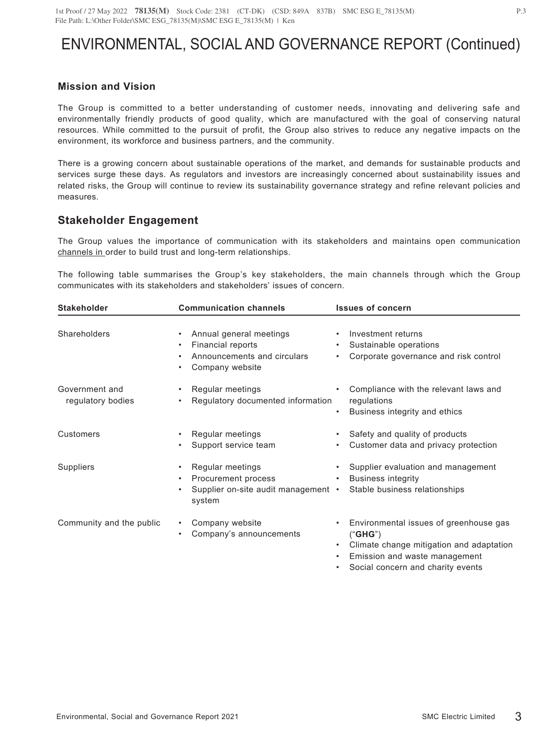## **Mission and Vision**

The Group is committed to a better understanding of customer needs, innovating and delivering safe and environmentally friendly products of good quality, which are manufactured with the goal of conserving natural resources. While committed to the pursuit of profit, the Group also strives to reduce any negative impacts on the environment, its workforce and business partners, and the community.

There is a growing concern about sustainable operations of the market, and demands for sustainable products and services surge these days. As regulators and investors are increasingly concerned about sustainability issues and related risks, the Group will continue to review its sustainability governance strategy and refine relevant policies and measures.

## **Stakeholder Engagement**

The Group values the importance of communication with its stakeholders and maintains open communication channels in order to build trust and long-term relationships.

The following table summarises the Group's key stakeholders, the main channels through which the Group communicates with its stakeholders and stakeholders' issues of concern.

| <b>Stakeholder</b>                  | <b>Communication channels</b>                                                                                      | <b>Issues of concern</b>                                                                                                       |
|-------------------------------------|--------------------------------------------------------------------------------------------------------------------|--------------------------------------------------------------------------------------------------------------------------------|
| Shareholders                        | Annual general meetings<br>٠<br>Financial reports<br>٠<br>Announcements and circulars<br>٠<br>Company website<br>٠ | Investment returns<br>Sustainable operations<br>Corporate governance and risk control<br>٠                                     |
| Government and<br>regulatory bodies | Regular meetings<br>$\bullet$<br>Regulatory documented information<br>٠                                            | Compliance with the relevant laws and<br>regulations<br>Business integrity and ethics<br>$\bullet$                             |
| Customers                           | Regular meetings<br>$\bullet$<br>Support service team<br>٠                                                         | Safety and quality of products<br>Customer data and privacy protection                                                         |
| Suppliers                           | Regular meetings<br>٠<br>Procurement process<br>٠<br>Supplier on-site audit management •<br>٠<br>system            | Supplier evaluation and management<br><b>Business integrity</b><br>$\bullet$<br>Stable business relationships                  |
| Community and the public            | Company website<br>$\bullet$<br>Company's announcements<br>٠                                                       | Environmental issues of greenhouse gas<br>("GHG")<br>Climate change mitigation and adaptation<br>Emission and waste management |

• Social concern and charity events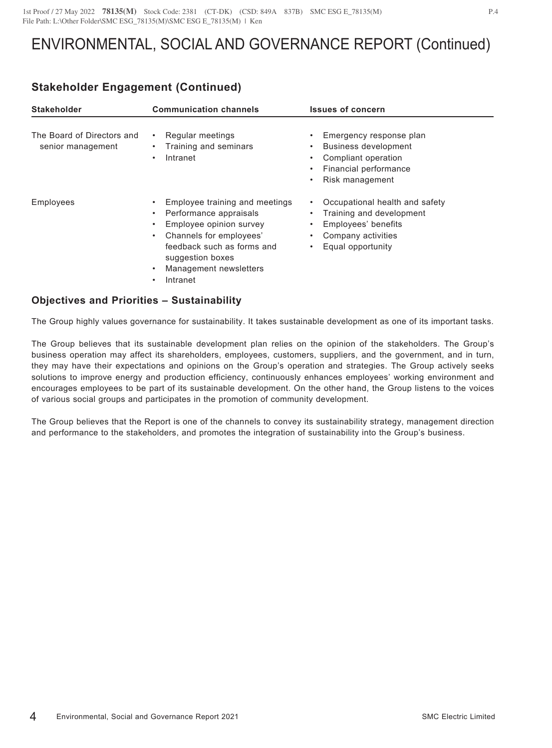## **Stakeholder Engagement (Continued)**

| <b>Stakeholder</b>                              | <b>Communication channels</b>                                                                                                                                                                               | <b>Issues of concern</b>                                                                                                                                              |
|-------------------------------------------------|-------------------------------------------------------------------------------------------------------------------------------------------------------------------------------------------------------------|-----------------------------------------------------------------------------------------------------------------------------------------------------------------------|
| The Board of Directors and<br>senior management | Regular meetings<br>Training and seminars<br>Intranet                                                                                                                                                       | Emergency response plan<br><b>Business development</b><br>$\bullet$<br>Compliant operation<br>٠<br>Financial performance<br>٠<br>Risk management<br>٠                 |
| <b>Employees</b>                                | Employee training and meetings<br>Performance appraisals<br>Employee opinion survey<br>Channels for employees'<br>٠<br>feedback such as forms and<br>suggestion boxes<br>Management newsletters<br>Intranet | Occupational health and safety<br>٠<br>Training and development<br>$\bullet$<br>Employees' benefits<br>$\bullet$<br>Company activities<br>٠<br>Equal opportunity<br>٠ |

### **Objectives and Priorities – Sustainability**

The Group highly values governance for sustainability. It takes sustainable development as one of its important tasks.

The Group believes that its sustainable development plan relies on the opinion of the stakeholders. The Group's business operation may affect its shareholders, employees, customers, suppliers, and the government, and in turn, they may have their expectations and opinions on the Group's operation and strategies. The Group actively seeks solutions to improve energy and production efficiency, continuously enhances employees' working environment and encourages employees to be part of its sustainable development. On the other hand, the Group listens to the voices of various social groups and participates in the promotion of community development.

The Group believes that the Report is one of the channels to convey its sustainability strategy, management direction and performance to the stakeholders, and promotes the integration of sustainability into the Group's business.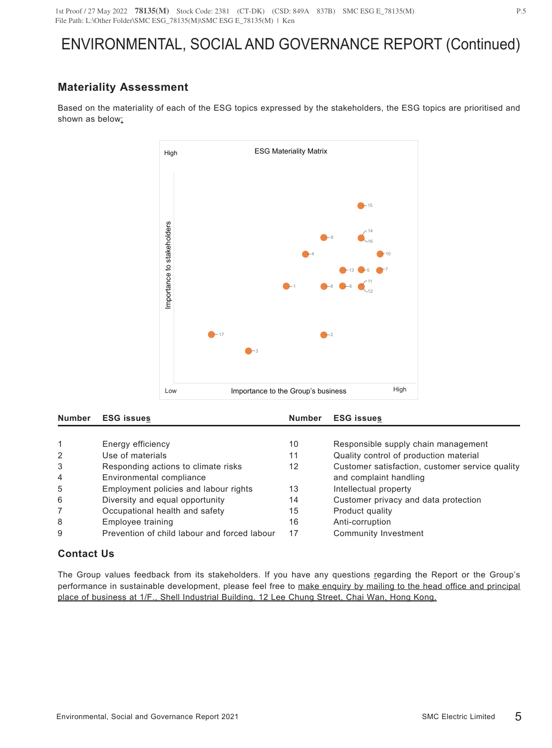# **Materiality Assessment**

Based on the materiality of each of the ESG topics expressed by the stakeholders, the ESG topics are prioritised and shown as below:



| <b>Number</b>  | <b>ESG issues</b>                            | <b>Number</b> | <b>ESG issues</b>                               |
|----------------|----------------------------------------------|---------------|-------------------------------------------------|
|                |                                              |               |                                                 |
|                | Energy efficiency                            | 10            | Responsible supply chain management             |
| $\mathcal{P}$  | Use of materials                             | 11            | Quality control of production material          |
| 3              | Responding actions to climate risks          | 12            | Customer satisfaction, customer service quality |
| $\overline{4}$ | Environmental compliance                     |               | and complaint handling                          |
| 5              | Employment policies and labour rights        | 13            | Intellectual property                           |
| 6              | Diversity and equal opportunity              | 14            | Customer privacy and data protection            |
|                | Occupational health and safety               | 15            | Product quality                                 |
| 8              | Employee training                            | 16            | Anti-corruption                                 |
| 9              | Prevention of child labour and forced labour | 17            | Community Investment                            |

## **Contact Us**

The Group values feedback from its stakeholders. If you have any questions regarding the Report or the Group's performance in sustainable development, please feel free to make enquiry by mailing to the head office and principal place of business at 1/F., Shell Industrial Building, 12 Lee Chung Street, Chai Wan, Hong Kong.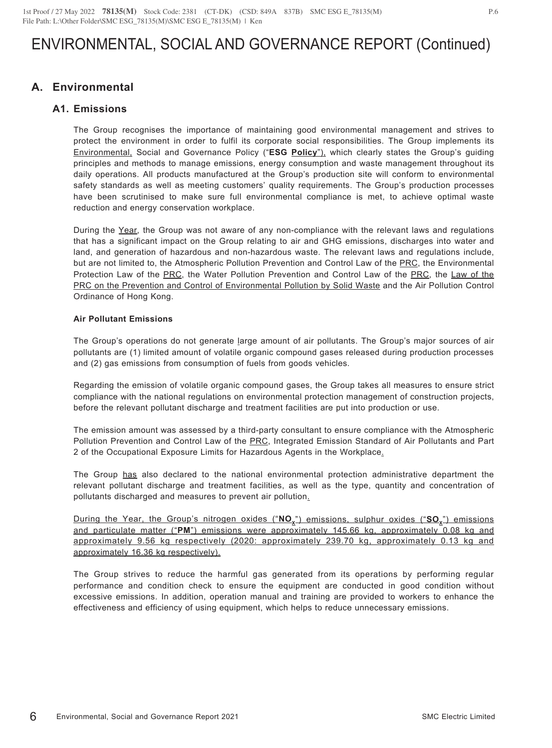## **A. Environmental**

### **A1. Emissions**

The Group recognises the importance of maintaining good environmental management and strives to protect the environment in order to fulfil its corporate social responsibilities. The Group implements its Environmental, Social and Governance Policy ("**ESG Policy**"), which clearly states the Group's guiding principles and methods to manage emissions, energy consumption and waste management throughout its daily operations. All products manufactured at the Group's production site will conform to environmental safety standards as well as meeting customers' quality requirements. The Group's production processes have been scrutinised to make sure full environmental compliance is met, to achieve optimal waste reduction and energy conservation workplace.

During the Year, the Group was not aware of any non-compliance with the relevant laws and regulations that has a significant impact on the Group relating to air and GHG emissions, discharges into water and land, and generation of hazardous and non-hazardous waste. The relevant laws and regulations include, but are not limited to, the Atmospheric Pollution Prevention and Control Law of the PRC, the Environmental Protection Law of the PRC, the Water Pollution Prevention and Control Law of the PRC, the Law of the PRC on the Prevention and Control of Environmental Pollution by Solid Waste and the Air Pollution Control Ordinance of Hong Kong.

#### **Air Pollutant Emissions**

The Group's operations do not generate large amount of air pollutants. The Group's major sources of air pollutants are (1) limited amount of volatile organic compound gases released during production processes and (2) gas emissions from consumption of fuels from goods vehicles.

Regarding the emission of volatile organic compound gases, the Group takes all measures to ensure strict compliance with the national regulations on environmental protection management of construction projects, before the relevant pollutant discharge and treatment facilities are put into production or use.

The emission amount was assessed by a third-party consultant to ensure compliance with the Atmospheric Pollution Prevention and Control Law of the PRC, Integrated Emission Standard of Air Pollutants and Part 2 of the Occupational Exposure Limits for Hazardous Agents in the Workplace.

The Group has also declared to the national environmental protection administrative department the relevant pollutant discharge and treatment facilities, as well as the type, quantity and concentration of pollutants discharged and measures to prevent air pollution.

During the Year, the Group's nitrogen oxides ("NO<sub>x</sub>") emissions, sulphur oxides ("SO<sub>x</sub>") emissions and particulate matter ("**PM**") emissions were approximately 145.66 kg, approximately 0.08 kg and approximately 9.56 kg respectively (2020: approximately 239.70 kg, approximately 0.13 kg and approximately 16.36 kg respectively).

The Group strives to reduce the harmful gas generated from its operations by performing regular performance and condition check to ensure the equipment are conducted in good condition without excessive emissions. In addition, operation manual and training are provided to workers to enhance the effectiveness and efficiency of using equipment, which helps to reduce unnecessary emissions.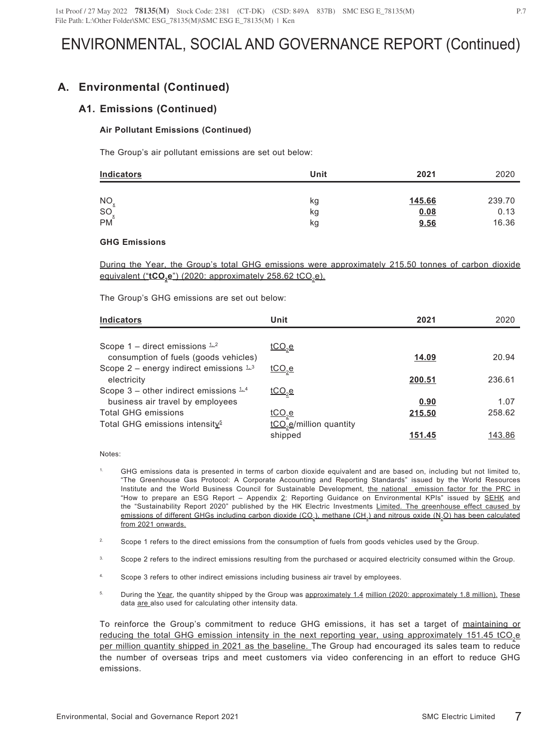## **A. Environmental (Continued)**

### **A1. Emissions (Continued)**

### **Air Pollutant Emissions (Continued)**

The Group's air pollutant emissions are set out below:

| Indicators | Unit | 2021   | 2020   |
|------------|------|--------|--------|
| <b>NO</b>  | kg   | 145.66 | 239.70 |
| SO         | κg   | 0.08   | 0.13   |
| <b>PM</b>  | κg   | 9.56   | 16.36  |

#### **GHG Emissions**

During the Year, the Group's total GHG emissions were approximately 215.50 tonnes of carbon dioxide equivalent ("tCO<sub>2</sub>e") (2020: approximately 258.62 tCO<sub>2</sub>e).

The Group's GHG emissions are set out below:

| <b>Indicators</b>                                 | Unit                                | 2021   | 2020   |
|---------------------------------------------------|-------------------------------------|--------|--------|
|                                                   |                                     |        |        |
| Scope 1 – direct emissions $\pm 2$                | $\underline{tCO}_{2}e$              |        |        |
| consumption of fuels (goods vehicles)             |                                     | 14.09  | 20.94  |
| Scope 2 – energy indirect emissions $1/3$         | <u>tCO<sub>2</sub>e</u>             |        |        |
| electricity                                       |                                     | 200.51 | 236.61 |
| Scope 3 – other indirect emissions $\mathbb{L}^4$ | $tCO$ <sub>2</sub> $e$              |        |        |
| business air travel by employees                  |                                     | 0.90   | 1.07   |
| <b>Total GHG emissions</b>                        | $tCO2$ e                            | 215.50 | 258.62 |
| Total GHG emissions intensity <sup>5</sup>        | tCO <sub>2</sub> e/million quantity |        |        |
|                                                   | shipped                             | 151.45 | 143.86 |

#### Notes:

- 1. GHG emissions data is presented in terms of carbon dioxide equivalent and are based on, including but not limited to, "The Greenhouse Gas Protocol: A Corporate Accounting and Reporting Standards" issued by the World Resources Institute and the World Business Council for Sustainable Development, the national emission factor for the PRC in "How to prepare an ESG Report – Appendix 2: Reporting Guidance on Environmental KPIs" issued by SEHK and the "Sustainability Report 2020" published by the HK Electric Investments Limited. The greenhouse effect caused by emissions of different GHGs including carbon dioxide (CO<sub>2</sub>), methane (CH<sub>4</sub>) and nitrous oxide (N<sub>2</sub>O) has been calculated from 2021 onwards.
- <sup>2.</sup> Scope 1 refers to the direct emissions from the consumption of fuels from goods vehicles used by the Group.
- <sup>3.</sup> Scope 2 refers to the indirect emissions resulting from the purchased or acquired electricity consumed within the Group.
- Scope 3 refers to other indirect emissions including business air travel by employees.
- <sup>5.</sup> During the Year, the quantity shipped by the Group was approximately 1.4 million (2020: approximately 1.8 million). These data are also used for calculating other intensity data.

To reinforce the Group's commitment to reduce GHG emissions, it has set a target of maintaining or reducing the total GHG emission intensity in the next reporting year, using approximately 151.45 tCO<sub>2</sub>e per million quantity shipped in 2021 as the baseline. The Group had encouraged its sales team to reduce the number of overseas trips and meet customers via video conferencing in an effort to reduce GHG emissions.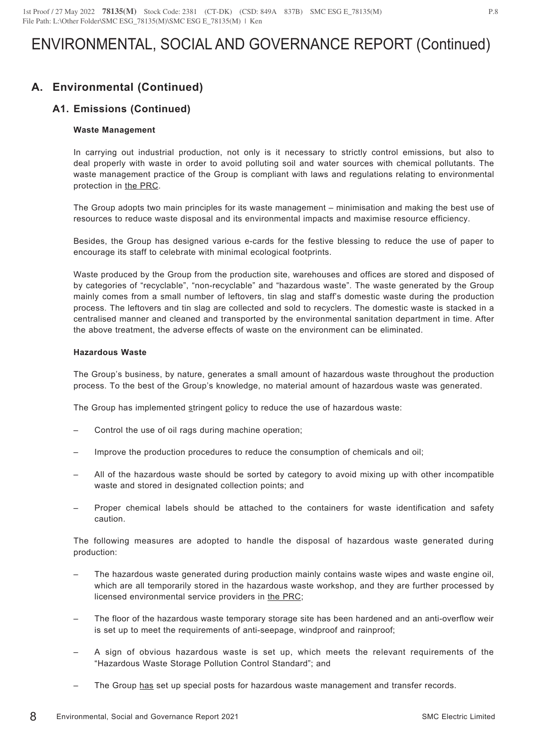# **A. Environmental (Continued)**

## **A1. Emissions (Continued)**

#### **Waste Management**

In carrying out industrial production, not only is it necessary to strictly control emissions, but also to deal properly with waste in order to avoid polluting soil and water sources with chemical pollutants. The waste management practice of the Group is compliant with laws and regulations relating to environmental protection in the PRC.

The Group adopts two main principles for its waste management – minimisation and making the best use of resources to reduce waste disposal and its environmental impacts and maximise resource efficiency.

Besides, the Group has designed various e-cards for the festive blessing to reduce the use of paper to encourage its staff to celebrate with minimal ecological footprints.

Waste produced by the Group from the production site, warehouses and offices are stored and disposed of by categories of "recyclable", "non-recyclable" and "hazardous waste". The waste generated by the Group mainly comes from a small number of leftovers, tin slag and staff's domestic waste during the production process. The leftovers and tin slag are collected and sold to recyclers. The domestic waste is stacked in a centralised manner and cleaned and transported by the environmental sanitation department in time. After the above treatment, the adverse effects of waste on the environment can be eliminated.

#### **Hazardous Waste**

The Group's business, by nature, generates a small amount of hazardous waste throughout the production process. To the best of the Group's knowledge, no material amount of hazardous waste was generated.

The Group has implemented stringent policy to reduce the use of hazardous waste:

- Control the use of oil rags during machine operation;
- Improve the production procedures to reduce the consumption of chemicals and oil;
- All of the hazardous waste should be sorted by category to avoid mixing up with other incompatible waste and stored in designated collection points; and
- Proper chemical labels should be attached to the containers for waste identification and safety caution.

The following measures are adopted to handle the disposal of hazardous waste generated during production:

- The hazardous waste generated during production mainly contains waste wipes and waste engine oil, which are all temporarily stored in the hazardous waste workshop, and they are further processed by licensed environmental service providers in the PRC;
- The floor of the hazardous waste temporary storage site has been hardened and an anti-overflow weir is set up to meet the requirements of anti-seepage, windproof and rainproof;
- A sign of obvious hazardous waste is set up, which meets the relevant requirements of the "Hazardous Waste Storage Pollution Control Standard"; and
- The Group has set up special posts for hazardous waste management and transfer records.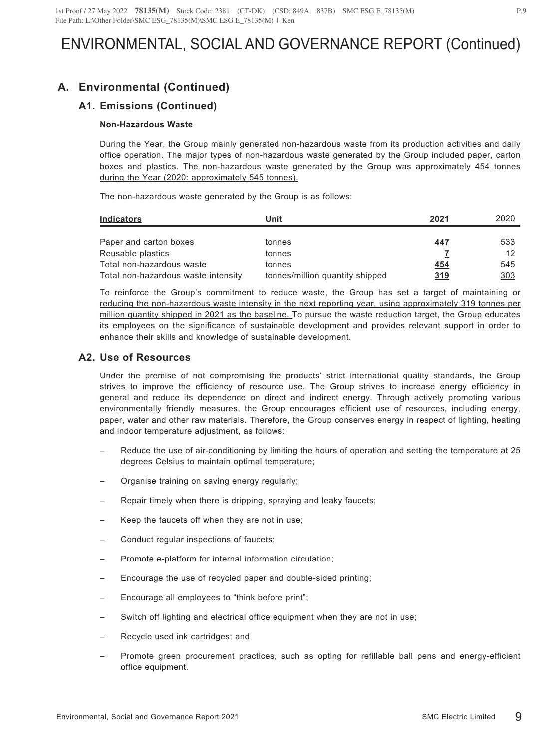# **A. Environmental (Continued)**

## **A1. Emissions (Continued)**

### **Non-Hazardous Waste**

During the Year, the Group mainly generated non-hazardous waste from its production activities and daily office operation. The major types of non-hazardous waste generated by the Group included paper, carton boxes and plastics. The non-hazardous waste generated by the Group was approximately 454 tonnes during the Year (2020: approximately 545 tonnes).

The non-hazardous waste generated by the Group is as follows:

| Indicators                          | Unit                            | 2021 | 2020 |
|-------------------------------------|---------------------------------|------|------|
|                                     |                                 |      |      |
| Paper and carton boxes              | tonnes                          | 447  | 533  |
| Reusable plastics                   | tonnes                          |      | 12   |
| Total non-hazardous waste           | tonnes                          | 454  | 545  |
| Total non-hazardous waste intensity | tonnes/million quantity shipped | 319  | 303  |

To reinforce the Group's commitment to reduce waste, the Group has set a target of maintaining or reducing the non-hazardous waste intensity in the next reporting year, using approximately 319 tonnes per million quantity shipped in 2021 as the baseline. To pursue the waste reduction target, the Group educates its employees on the significance of sustainable development and provides relevant support in order to enhance their skills and knowledge of sustainable development.

### **A2. Use of Resources**

Under the premise of not compromising the products' strict international quality standards, the Group strives to improve the efficiency of resource use. The Group strives to increase energy efficiency in general and reduce its dependence on direct and indirect energy. Through actively promoting various environmentally friendly measures, the Group encourages efficient use of resources, including energy, paper, water and other raw materials. Therefore, the Group conserves energy in respect of lighting, heating and indoor temperature adjustment, as follows:

- Reduce the use of air-conditioning by limiting the hours of operation and setting the temperature at 25 degrees Celsius to maintain optimal temperature;
- Organise training on saving energy regularly;
- Repair timely when there is dripping, spraying and leaky faucets;
- Keep the faucets off when they are not in use;
- Conduct regular inspections of faucets;
- Promote e-platform for internal information circulation;
- Encourage the use of recycled paper and double-sided printing;
- Encourage all employees to "think before print";
- Switch off lighting and electrical office equipment when they are not in use;
- Recycle used ink cartridges; and
- Promote green procurement practices, such as opting for refillable ball pens and energy-efficient office equipment.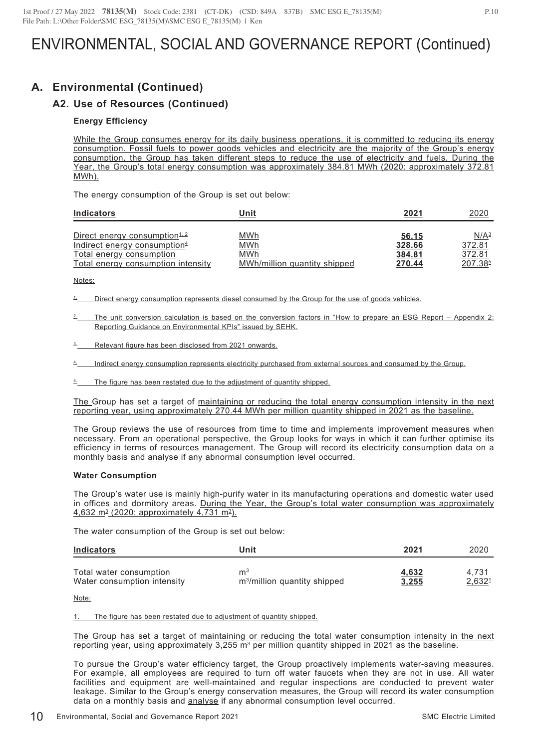# **A. Environmental (Continued)**

## **A2. Use of Resources (Continued)**

#### **Energy Efficiency**

While the Group consumes energy for its daily business operations, it is committed to reducing its energy consumption. Fossil fuels to power goods vehicles and electricity are the majority of the Group's energy consumption, the Group has taken different steps to reduce the use of electricity and fuels. During the Year, the Group's total energy consumption was approximately 384.81 MWh (2020: approximately 372.81 MWh).

The energy consumption of the Group is set out below:

| <b>Indicators</b>                                              | Unit                                | 2021             | 2020                          |
|----------------------------------------------------------------|-------------------------------------|------------------|-------------------------------|
| Direct energy consumption <sup>1.2</sup>                       | <u>MWh</u>                          | 56.15            | N/A <sup>3</sup>              |
| Indirect energy consumption <sup>4</sup>                       | <u>MWh</u>                          | 328.66           | 372.81                        |
| Total energy consumption<br>Total energy consumption intensity | MWh<br>MWh/million quantity shipped | 384.81<br>270.44 | 372.81<br>207.38 <sup>5</sup> |

Notes:

Direct energy consumption represents diesel consumed by the Group for the use of goods vehicles.

- 2. The unit conversion calculation is based on the conversion factors in "How to prepare an ESG Report Appendix 2: Reporting Guidance on Environmental KPIs" issued by SEHK.
- Relevant figure has been disclosed from 2021 onwards.

Indirect energy consumption represents electricity purchased from external sources and consumed by the Group.

The figure has been restated due to the adjustment of quantity shipped.

The Group has set a target of maintaining or reducing the total energy consumption intensity in the next reporting year, using approximately 270.44 MWh per million quantity shipped in 2021 as the baseline.

The Group reviews the use of resources from time to time and implements improvement measures when necessary. From an operational perspective, the Group looks for ways in which it can further optimise its efficiency in terms of resources management. The Group will record its electricity consumption data on a monthly basis and analyse if any abnormal consumption level occurred.

#### **Water Consumption**

The Group's water use is mainly high-purify water in its manufacturing operations and domestic water used in offices and dormitory areas. During the Year, the Group's total water consumption was approximately  $4,632$  m<sup>3</sup> (2020: approximately 4,731 m<sup>3</sup>).

The water consumption of the Group is set out below:

| <b>Indicators</b>           | Unit                                     | 2021  | 2020   |
|-----------------------------|------------------------------------------|-------|--------|
| Total water consumption     | $\mathsf{m}^3$                           | 4,632 | 4.731  |
| Water consumption intensity | m <sup>3</sup> /million quantity shipped | 3,255 | 2,6321 |

Note:

The figure has been restated due to adjustment of quantity shipped.

The Group has set a target of maintaining or reducing the total water consumption intensity in the next reporting year, using approximately  $3.255 \text{ m}^3$  per million quantity shipped in 2021 as the baseline.

To pursue the Group's water efficiency target, the Group proactively implements water-saving measures. For example, all employees are required to turn off water faucets when they are not in use. All water facilities and equipment are well-maintained and regular inspections are conducted to prevent water leakage. Similar to the Group's energy conservation measures, the Group will record its water consumption data on a monthly basis and analyse if any abnormal consumption level occurred.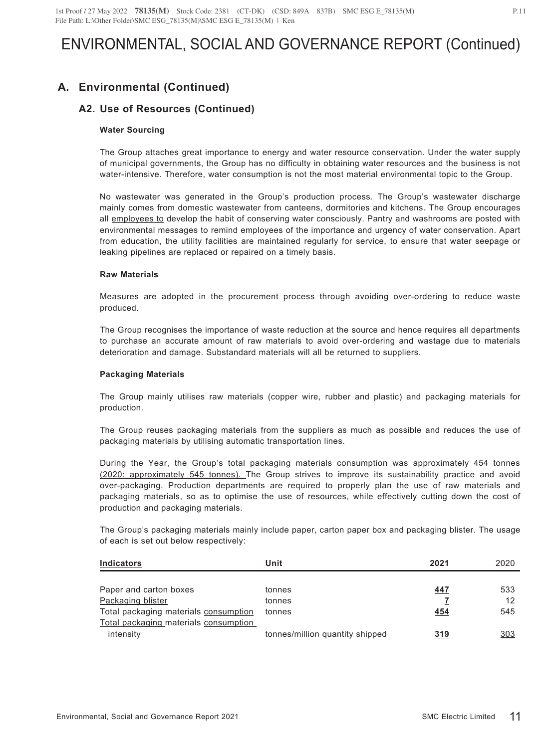# **A. Environmental (Continued)**

## **A2. Use of Resources (Continued)**

### **Water Sourcing**

The Group attaches great importance to energy and water resource conservation. Under the water supply of municipal governments, the Group has no difficulty in obtaining water resources and the business is not water-intensive. Therefore, water consumption is not the most material environmental topic to the Group.

No wastewater was generated in the Group's production process. The Group's wastewater discharge mainly comes from domestic wastewater from canteens, dormitories and kitchens. The Group encourages all employees to develop the habit of conserving water consciously. Pantry and washrooms are posted with environmental messages to remind employees of the importance and urgency of water conservation. Apart from education, the utility facilities are maintained regularly for service, to ensure that water seepage or leaking pipelines are replaced or repaired on a timely basis.

#### **Raw Materials**

Measures are adopted in the procurement process through avoiding over-ordering to reduce waste produced.

The Group recognises the importance of waste reduction at the source and hence requires all departments to purchase an accurate amount of raw materials to avoid over-ordering and wastage due to materials deterioration and damage. Substandard materials will all be returned to suppliers.

#### **Packaging Materials**

The Group mainly utilises raw materials (copper wire, rubber and plastic) and packaging materials for production.

The Group reuses packaging materials from the suppliers as much as possible and reduces the use of packaging materials by utilising automatic transportation lines.

During the Year, the Group's total packaging materials consumption was approximately 454 tonnes (2020: approximately 545 tonnes). The Group strives to improve its sustainability practice and avoid over-packaging. Production departments are required to properly plan the use of raw materials and packaging materials, so as to optimise the use of resources, while effectively cutting down the cost of production and packaging materials.

The Group's packaging materials mainly include paper, carton paper box and packaging blister. The usage of each is set out below respectively:

| <b>Indicators</b>                     | Unit                            | 2021 | 2020 |
|---------------------------------------|---------------------------------|------|------|
|                                       |                                 |      |      |
| Paper and carton boxes                | tonnes                          | 447  | 533  |
| Packaging blister                     | tonnes                          |      | 12   |
| Total packaging materials consumption | tonnes                          | 454  | 545  |
| Total packaging materials consumption |                                 |      |      |
| intensity                             | tonnes/million quantity shipped | 319  | 303  |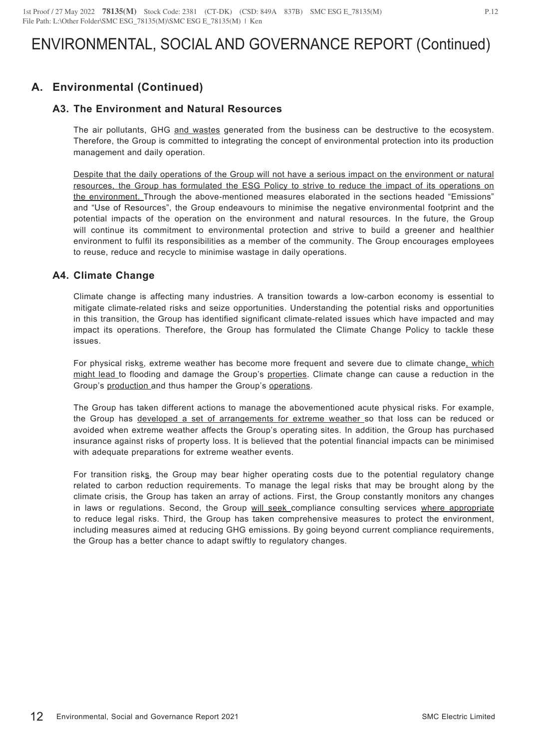## **A. Environmental (Continued)**

### **A3. The Environment and Natural Resources**

The air pollutants, GHG and wastes generated from the business can be destructive to the ecosystem. Therefore, the Group is committed to integrating the concept of environmental protection into its production management and daily operation.

Despite that the daily operations of the Group will not have a serious impact on the environment or natural resources, the Group has formulated the ESG Policy to strive to reduce the impact of its operations on the environment. Through the above-mentioned measures elaborated in the sections headed "Emissions" and "Use of Resources", the Group endeavours to minimise the negative environmental footprint and the potential impacts of the operation on the environment and natural resources. In the future, the Group will continue its commitment to environmental protection and strive to build a greener and healthier environment to fulfil its responsibilities as a member of the community. The Group encourages employees to reuse, reduce and recycle to minimise wastage in daily operations.

### **A4. Climate Change**

Climate change is affecting many industries. A transition towards a low-carbon economy is essential to mitigate climate-related risks and seize opportunities. Understanding the potential risks and opportunities in this transition, the Group has identified significant climate-related issues which have impacted and may impact its operations. Therefore, the Group has formulated the Climate Change Policy to tackle these issues.

For physical risks, extreme weather has become more frequent and severe due to climate change, which might lead to flooding and damage the Group's properties. Climate change can cause a reduction in the Group's production and thus hamper the Group's operations.

The Group has taken different actions to manage the abovementioned acute physical risks. For example, the Group has developed a set of arrangements for extreme weather so that loss can be reduced or avoided when extreme weather affects the Group's operating sites. In addition, the Group has purchased insurance against risks of property loss. It is believed that the potential financial impacts can be minimised with adequate preparations for extreme weather events.

For transition risks, the Group may bear higher operating costs due to the potential regulatory change related to carbon reduction requirements. To manage the legal risks that may be brought along by the climate crisis, the Group has taken an array of actions. First, the Group constantly monitors any changes in laws or regulations. Second, the Group will seek compliance consulting services where appropriate to reduce legal risks. Third, the Group has taken comprehensive measures to protect the environment, including measures aimed at reducing GHG emissions. By going beyond current compliance requirements, the Group has a better chance to adapt swiftly to regulatory changes.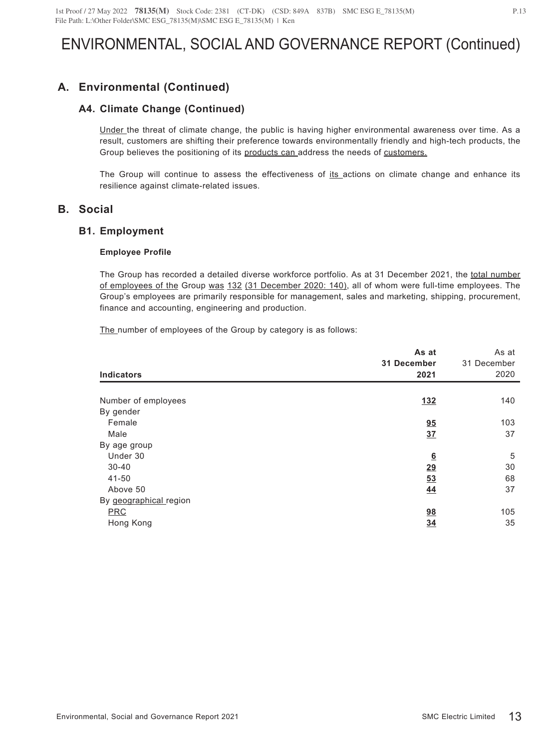# **A. Environmental (Continued)**

### **A4. Climate Change (Continued)**

Under the threat of climate change, the public is having higher environmental awareness over time. As a result, customers are shifting their preference towards environmentally friendly and high-tech products, the Group believes the positioning of its products can address the needs of customers.

The Group will continue to assess the effectiveness of its actions on climate change and enhance its resilience against climate-related issues.

## **B. Social**

### **B1. Employment**

### **Employee Profile**

The Group has recorded a detailed diverse workforce portfolio. As at 31 December 2021, the total number of employees of the Group was 132 (31 December 2020: 140), all of whom were full-time employees. The Group's employees are primarily responsible for management, sales and marketing, shipping, procurement, finance and accounting, engineering and production.

The number of employees of the Group by category is as follows:

| <b>Indicators</b>      | As at<br>31 December<br>2021 | As at<br>31 December<br>2020 |
|------------------------|------------------------------|------------------------------|
| Number of employees    | <u>132</u>                   | 140                          |
|                        |                              |                              |
| By gender<br>Female    | 95                           | 103                          |
| Male                   | 37                           | 37                           |
| By age group           |                              |                              |
| Under 30               | 6                            | 5                            |
| $30 - 40$              | <u>29</u>                    | 30                           |
| 41-50                  | 53                           | 68                           |
| Above 50               | 44                           | 37                           |
| By geographical region |                              |                              |
| <b>PRC</b>             | <u>98</u>                    | 105                          |
| Hong Kong              | 34                           | 35                           |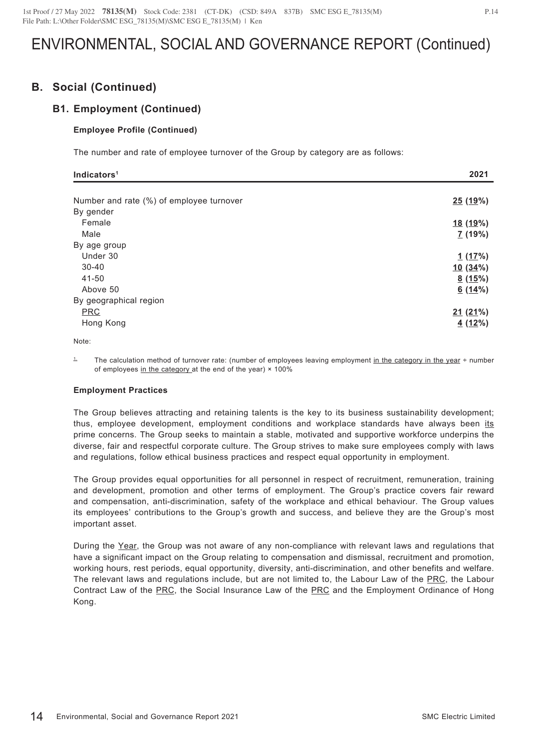## **B. Social (Continued)**

### **B1. Employment (Continued)**

#### **Employee Profile (Continued)**

The number and rate of employee turnover of the Group by category are as follows:

| Indicators <sup>1</sup>                  | 2021            |
|------------------------------------------|-----------------|
|                                          |                 |
| Number and rate (%) of employee turnover | <u>25 (19%)</u> |
| By gender                                |                 |
| Female                                   | <u>18 (19%)</u> |
| Male                                     | I(19%)          |
| By age group                             |                 |
| Under 30                                 | 1(17%)          |
| $30 - 40$                                | 10(34%)         |
| 41-50                                    | 8(15%)          |
| Above 50                                 | 6(14%)          |
| By geographical region                   |                 |
| <b>PRC</b>                               | 21(21%)         |
| Hong Kong                                | 4(12%)          |

Note:

<sup>1</sup> The calculation method of turnover rate: (number of employees leaving employment in the category in the year ÷ number of employees in the category at the end of the year) × 100%

#### **Employment Practices**

The Group believes attracting and retaining talents is the key to its business sustainability development; thus, employee development, employment conditions and workplace standards have always been its prime concerns. The Group seeks to maintain a stable, motivated and supportive workforce underpins the diverse, fair and respectful corporate culture. The Group strives to make sure employees comply with laws and regulations, follow ethical business practices and respect equal opportunity in employment.

The Group provides equal opportunities for all personnel in respect of recruitment, remuneration, training and development, promotion and other terms of employment. The Group's practice covers fair reward and compensation, anti-discrimination, safety of the workplace and ethical behaviour. The Group values its employees' contributions to the Group's growth and success, and believe they are the Group's most important asset.

During the Year, the Group was not aware of any non-compliance with relevant laws and regulations that have a significant impact on the Group relating to compensation and dismissal, recruitment and promotion, working hours, rest periods, equal opportunity, diversity, anti-discrimination, and other benefits and welfare. The relevant laws and regulations include, but are not limited to, the Labour Law of the PRC, the Labour Contract Law of the PRC, the Social Insurance Law of the PRC and the Employment Ordinance of Hong Kong.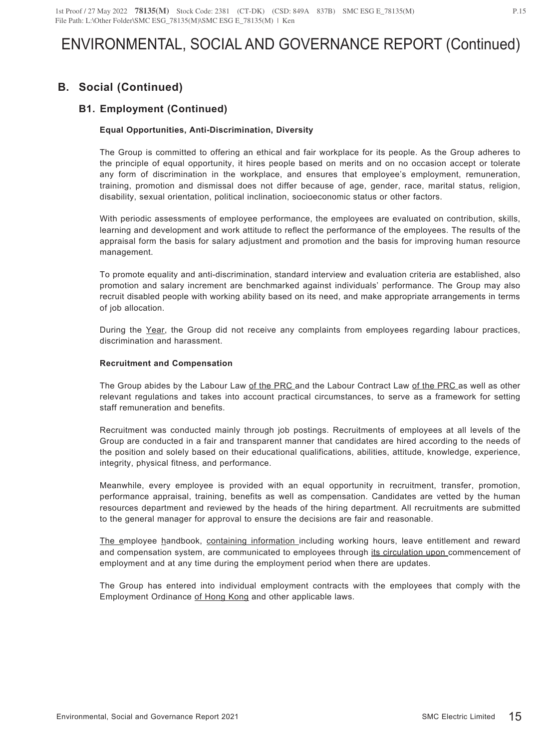# **B. Social (Continued)**

## **B1. Employment (Continued)**

### **Equal Opportunities, Anti-Discrimination, Diversity**

The Group is committed to offering an ethical and fair workplace for its people. As the Group adheres to the principle of equal opportunity, it hires people based on merits and on no occasion accept or tolerate any form of discrimination in the workplace, and ensures that employee's employment, remuneration, training, promotion and dismissal does not differ because of age, gender, race, marital status, religion, disability, sexual orientation, political inclination, socioeconomic status or other factors.

With periodic assessments of employee performance, the employees are evaluated on contribution, skills, learning and development and work attitude to reflect the performance of the employees. The results of the appraisal form the basis for salary adjustment and promotion and the basis for improving human resource management.

To promote equality and anti-discrimination, standard interview and evaluation criteria are established, also promotion and salary increment are benchmarked against individuals' performance. The Group may also recruit disabled people with working ability based on its need, and make appropriate arrangements in terms of job allocation.

During the Year, the Group did not receive any complaints from employees regarding labour practices, discrimination and harassment.

#### **Recruitment and Compensation**

The Group abides by the Labour Law of the PRC and the Labour Contract Law of the PRC as well as other relevant regulations and takes into account practical circumstances, to serve as a framework for setting staff remuneration and benefits.

Recruitment was conducted mainly through job postings. Recruitments of employees at all levels of the Group are conducted in a fair and transparent manner that candidates are hired according to the needs of the position and solely based on their educational qualifications, abilities, attitude, knowledge, experience, integrity, physical fitness, and performance.

Meanwhile, every employee is provided with an equal opportunity in recruitment, transfer, promotion, performance appraisal, training, benefits as well as compensation. Candidates are vetted by the human resources department and reviewed by the heads of the hiring department. All recruitments are submitted to the general manager for approval to ensure the decisions are fair and reasonable.

The employee handbook, containing information including working hours, leave entitlement and reward and compensation system, are communicated to employees through its circulation upon commencement of employment and at any time during the employment period when there are updates.

The Group has entered into individual employment contracts with the employees that comply with the Employment Ordinance of Hong Kong and other applicable laws.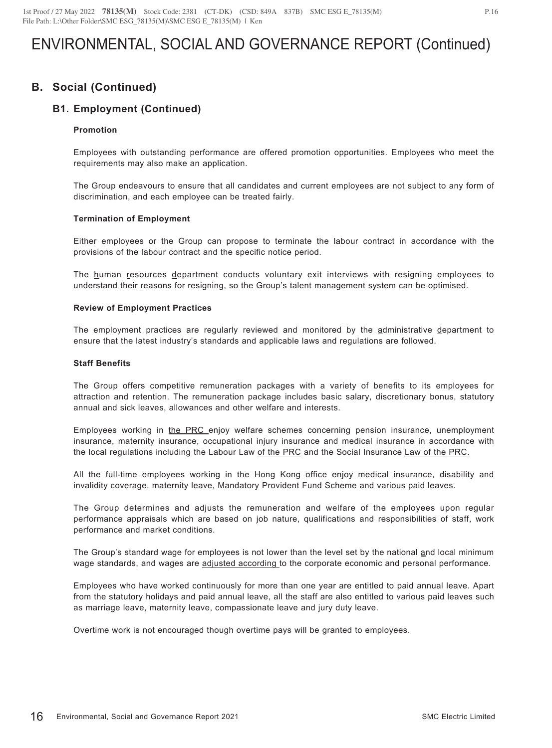## **B. Social (Continued)**

## **B1. Employment (Continued)**

#### **Promotion**

Employees with outstanding performance are offered promotion opportunities. Employees who meet the requirements may also make an application.

The Group endeavours to ensure that all candidates and current employees are not subject to any form of discrimination, and each employee can be treated fairly.

#### **Termination of Employment**

Either employees or the Group can propose to terminate the labour contract in accordance with the provisions of the labour contract and the specific notice period.

The human resources department conducts voluntary exit interviews with resigning employees to understand their reasons for resigning, so the Group's talent management system can be optimised.

#### **Review of Employment Practices**

The employment practices are regularly reviewed and monitored by the administrative department to ensure that the latest industry's standards and applicable laws and regulations are followed.

#### **Staff Benefits**

The Group offers competitive remuneration packages with a variety of benefits to its employees for attraction and retention. The remuneration package includes basic salary, discretionary bonus, statutory annual and sick leaves, allowances and other welfare and interests.

Employees working in the PRC enjoy welfare schemes concerning pension insurance, unemployment insurance, maternity insurance, occupational injury insurance and medical insurance in accordance with the local regulations including the Labour Law of the PRC and the Social Insurance Law of the PRC.

All the full-time employees working in the Hong Kong office enjoy medical insurance, disability and invalidity coverage, maternity leave, Mandatory Provident Fund Scheme and various paid leaves.

The Group determines and adjusts the remuneration and welfare of the employees upon regular performance appraisals which are based on job nature, qualifications and responsibilities of staff, work performance and market conditions.

The Group's standard wage for employees is not lower than the level set by the national and local minimum wage standards, and wages are adjusted according to the corporate economic and personal performance.

Employees who have worked continuously for more than one year are entitled to paid annual leave. Apart from the statutory holidays and paid annual leave, all the staff are also entitled to various paid leaves such as marriage leave, maternity leave, compassionate leave and jury duty leave.

Overtime work is not encouraged though overtime pays will be granted to employees.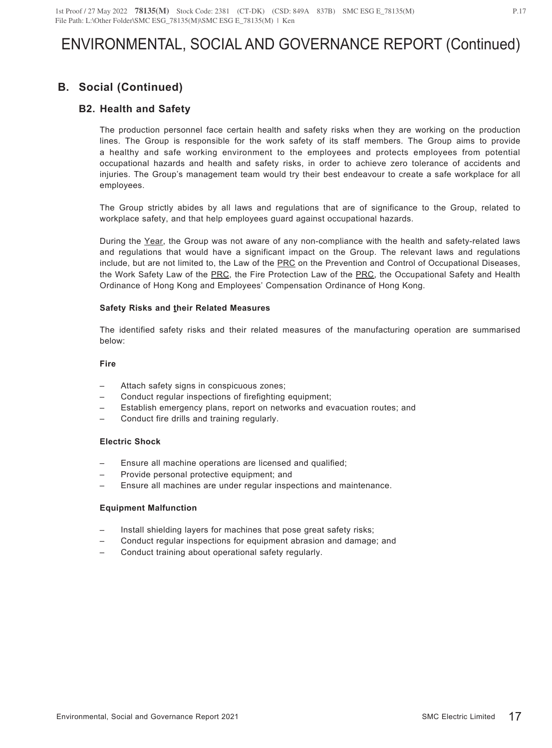# **B. Social (Continued)**

### **B2. Health and Safety**

The production personnel face certain health and safety risks when they are working on the production lines. The Group is responsible for the work safety of its staff members. The Group aims to provide a healthy and safe working environment to the employees and protects employees from potential occupational hazards and health and safety risks, in order to achieve zero tolerance of accidents and injuries. The Group's management team would try their best endeavour to create a safe workplace for all employees.

The Group strictly abides by all laws and regulations that are of significance to the Group, related to workplace safety, and that help employees guard against occupational hazards.

During the Year, the Group was not aware of any non-compliance with the health and safety-related laws and regulations that would have a significant impact on the Group. The relevant laws and regulations include, but are not limited to, the Law of the PRC on the Prevention and Control of Occupational Diseases, the Work Safety Law of the PRC, the Fire Protection Law of the PRC, the Occupational Safety and Health Ordinance of Hong Kong and Employees' Compensation Ordinance of Hong Kong.

#### **Safety Risks and their Related Measures**

The identified safety risks and their related measures of the manufacturing operation are summarised below:

#### **Fire**

- Attach safety signs in conspicuous zones;
- Conduct regular inspections of firefighting equipment;
- Establish emergency plans, report on networks and evacuation routes; and
- Conduct fire drills and training regularly.

#### **Electric Shock**

- Ensure all machine operations are licensed and qualified;
- Provide personal protective equipment; and
- Ensure all machines are under regular inspections and maintenance.

#### **Equipment Malfunction**

- Install shielding layers for machines that pose great safety risks;
- Conduct regular inspections for equipment abrasion and damage; and
- Conduct training about operational safety regularly.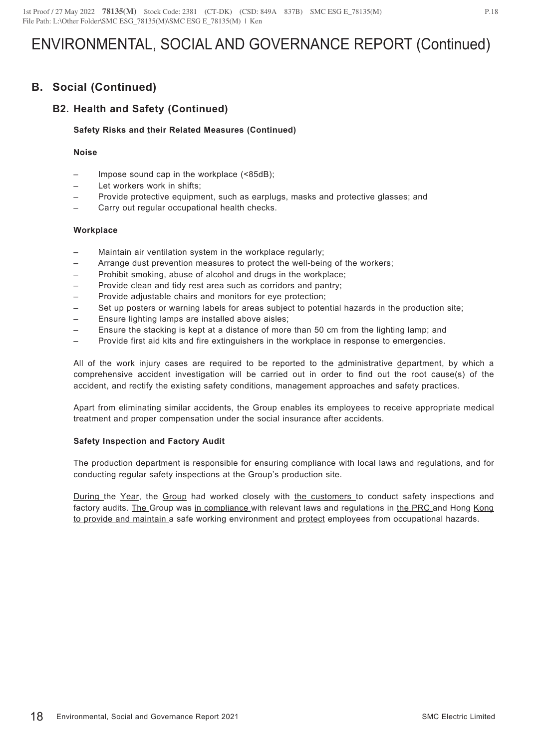## **B. Social (Continued)**

## **B2. Health and Safety (Continued)**

### **Safety Risks and their Related Measures (Continued)**

### **Noise**

- Impose sound cap in the workplace (<85dB);
- Let workers work in shifts;
- Provide protective equipment, such as earplugs, masks and protective glasses; and
- Carry out regular occupational health checks.

#### **Workplace**

- Maintain air ventilation system in the workplace regularly;
- Arrange dust prevention measures to protect the well-being of the workers;
- Prohibit smoking, abuse of alcohol and drugs in the workplace;
- Provide clean and tidy rest area such as corridors and pantry;
- Provide adjustable chairs and monitors for eye protection;
- Set up posters or warning labels for areas subject to potential hazards in the production site;
- Ensure lighting lamps are installed above aisles;
- Ensure the stacking is kept at a distance of more than 50 cm from the lighting lamp; and
- Provide first aid kits and fire extinguishers in the workplace in response to emergencies.

All of the work injury cases are required to be reported to the administrative department, by which a comprehensive accident investigation will be carried out in order to find out the root cause(s) of the accident, and rectify the existing safety conditions, management approaches and safety practices.

Apart from eliminating similar accidents, the Group enables its employees to receive appropriate medical treatment and proper compensation under the social insurance after accidents.

#### **Safety Inspection and Factory Audit**

The production department is responsible for ensuring compliance with local laws and regulations, and for conducting regular safety inspections at the Group's production site.

During the Year, the Group had worked closely with the customers to conduct safety inspections and factory audits. The Group was in compliance with relevant laws and regulations in the PRC and Hong Kong to provide and maintain a safe working environment and protect employees from occupational hazards.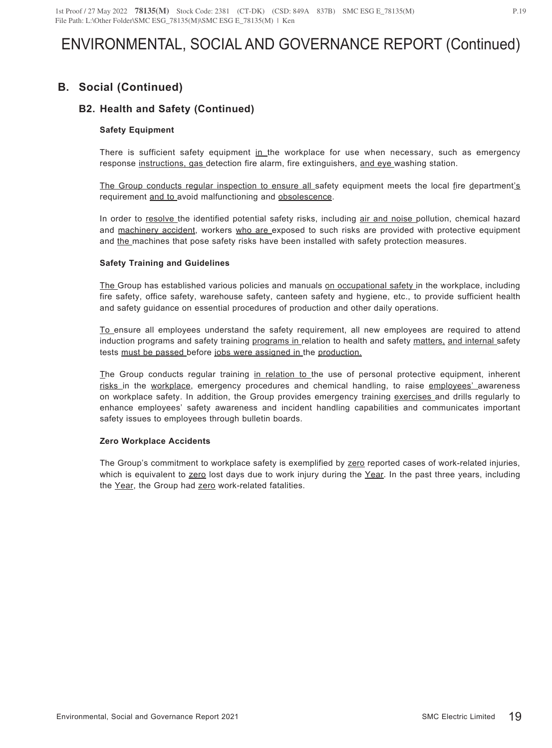# **B. Social (Continued)**

## **B2. Health and Safety (Continued)**

### **Safety Equipment**

There is sufficient safety equipment in the workplace for use when necessary, such as emergency response instructions, gas detection fire alarm, fire extinguishers, and eye washing station.

The Group conducts regular inspection to ensure all safety equipment meets the local fire department's requirement and to avoid malfunctioning and obsolescence.

In order to resolve the identified potential safety risks, including air and noise pollution, chemical hazard and machinery accident, workers who are exposed to such risks are provided with protective equipment and the machines that pose safety risks have been installed with safety protection measures.

### **Safety Training and Guidelines**

The Group has established various policies and manuals on occupational safety in the workplace, including fire safety, office safety, warehouse safety, canteen safety and hygiene, etc., to provide sufficient health and safety guidance on essential procedures of production and other daily operations.

To ensure all employees understand the safety requirement, all new employees are required to attend induction programs and safety training programs in relation to health and safety matters, and internal safety tests must be passed before jobs were assigned in the production.

The Group conducts regular training in relation to the use of personal protective equipment, inherent risks in the workplace, emergency procedures and chemical handling, to raise employees' awareness on workplace safety. In addition, the Group provides emergency training exercises and drills regularly to enhance employees' safety awareness and incident handling capabilities and communicates important safety issues to employees through bulletin boards.

#### **Zero Workplace Accidents**

The Group's commitment to workplace safety is exemplified by zero reported cases of work-related injuries, which is equivalent to zero lost days due to work injury during the Year. In the past three years, including the Year, the Group had zero work-related fatalities.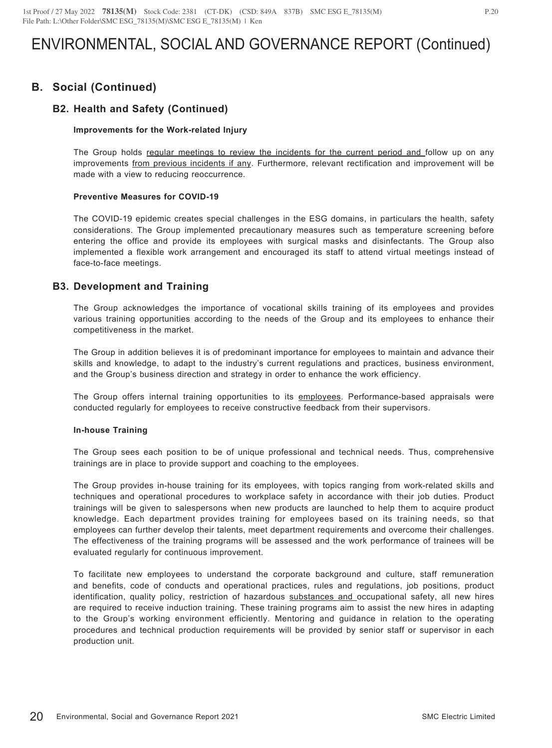## **B. Social (Continued)**

### **B2. Health and Safety (Continued)**

#### **Improvements for the Work-related Injury**

The Group holds regular meetings to review the incidents for the current period and follow up on any improvements from previous incidents if any. Furthermore, relevant rectification and improvement will be made with a view to reducing reoccurrence.

#### **Preventive Measures for COVID-19**

The COVID-19 epidemic creates special challenges in the ESG domains, in particulars the health, safety considerations. The Group implemented precautionary measures such as temperature screening before entering the office and provide its employees with surgical masks and disinfectants. The Group also implemented a flexible work arrangement and encouraged its staff to attend virtual meetings instead of face-to-face meetings.

### **B3. Development and Training**

The Group acknowledges the importance of vocational skills training of its employees and provides various training opportunities according to the needs of the Group and its employees to enhance their competitiveness in the market.

The Group in addition believes it is of predominant importance for employees to maintain and advance their skills and knowledge, to adapt to the industry's current regulations and practices, business environment, and the Group's business direction and strategy in order to enhance the work efficiency.

The Group offers internal training opportunities to its employees. Performance-based appraisals were conducted regularly for employees to receive constructive feedback from their supervisors.

#### **In-house Training**

The Group sees each position to be of unique professional and technical needs. Thus, comprehensive trainings are in place to provide support and coaching to the employees.

The Group provides in-house training for its employees, with topics ranging from work-related skills and techniques and operational procedures to workplace safety in accordance with their job duties. Product trainings will be given to salespersons when new products are launched to help them to acquire product knowledge. Each department provides training for employees based on its training needs, so that employees can further develop their talents, meet department requirements and overcome their challenges. The effectiveness of the training programs will be assessed and the work performance of trainees will be evaluated regularly for continuous improvement.

To facilitate new employees to understand the corporate background and culture, staff remuneration and benefits, code of conducts and operational practices, rules and regulations, job positions, product identification, quality policy, restriction of hazardous substances and occupational safety, all new hires are required to receive induction training. These training programs aim to assist the new hires in adapting to the Group's working environment efficiently. Mentoring and guidance in relation to the operating procedures and technical production requirements will be provided by senior staff or supervisor in each production unit.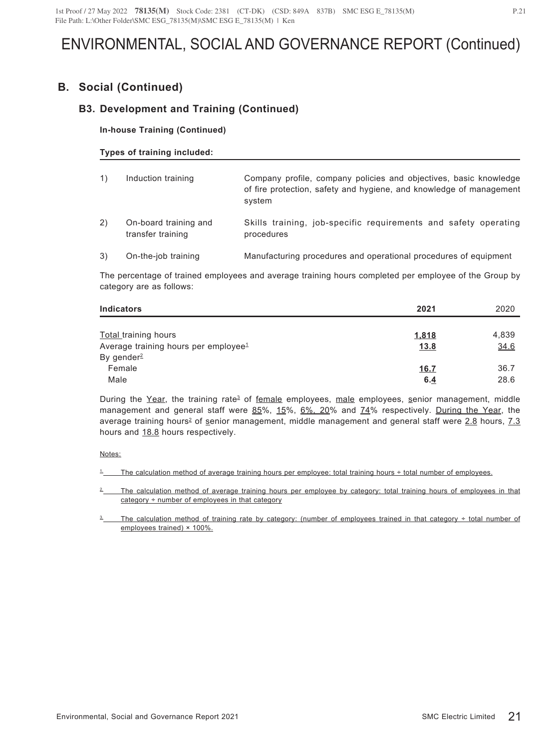## **B. Social (Continued)**

## **B3. Development and Training (Continued)**

### **In-house Training (Continued)**

### **Types of training included:**

| 1) | Induction training                         | Company profile, company policies and objectives, basic knowledge<br>of fire protection, safety and hygiene, and knowledge of management<br>system |
|----|--------------------------------------------|----------------------------------------------------------------------------------------------------------------------------------------------------|
| 2) | On-board training and<br>transfer training | Skills training, job-specific requirements and safety operating<br>procedures                                                                      |
| 3) | On-the-job training                        | Manufacturing procedures and operational procedures of equipment                                                                                   |

The percentage of trained employees and average training hours completed per employee of the Group by category are as follows:

| <b>Indicators</b>                                                               | 2021                        | 2020          |
|---------------------------------------------------------------------------------|-----------------------------|---------------|
| <b>Total</b> training hours<br>Average training hours per employee <sup>1</sup> | <u>1,818</u><br><u>13.8</u> | 4,839<br>34.6 |
| By gender <sup>2</sup><br>Female                                                | 16.7                        | 36.7          |
| Male                                                                            | 6.4                         | 28.6          |

During the Year, the training rate<sup>3</sup> of female employees, male employees, senior management, middle management and general staff were 85%, 15%, 6%, 20% and 74% respectively. During the Year, the average training hours<sup>2</sup> of senior management, middle management and general staff were 2.8 hours, 7.3 hours and 18.8 hours respectively.

Notes:

<sup>1</sup> The calculation method of average training hours per employee: total training hours ÷ total number of employees.

The calculation method of average training hours per employee by category: total training hours of employees in that category ÷ number of employees in that category

The calculation method of training rate by category: (number of employees trained in that category  $\div$  total number of employees trained) × 100%.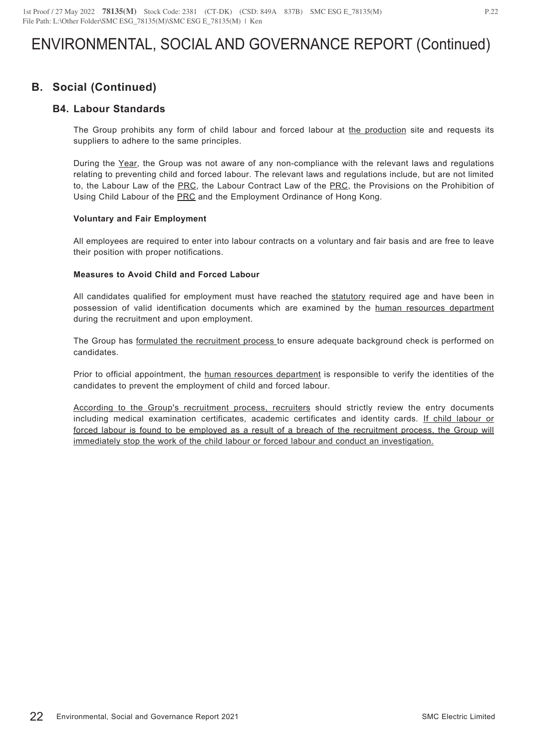## **B. Social (Continued)**

### **B4. Labour Standards**

The Group prohibits any form of child labour and forced labour at the production site and requests its suppliers to adhere to the same principles.

During the Year, the Group was not aware of any non-compliance with the relevant laws and regulations relating to preventing child and forced labour. The relevant laws and regulations include, but are not limited to, the Labour Law of the PRC, the Labour Contract Law of the PRC, the Provisions on the Prohibition of Using Child Labour of the PRC and the Employment Ordinance of Hong Kong.

#### **Voluntary and Fair Employment**

All employees are required to enter into labour contracts on a voluntary and fair basis and are free to leave their position with proper notifications.

### **Measures to Avoid Child and Forced Labour**

All candidates qualified for employment must have reached the statutory required age and have been in possession of valid identification documents which are examined by the human resources department during the recruitment and upon employment.

The Group has formulated the recruitment process to ensure adequate background check is performed on candidates.

Prior to official appointment, the human resources department is responsible to verify the identities of the candidates to prevent the employment of child and forced labour.

According to the Group's recruitment process, recruiters should strictly review the entry documents including medical examination certificates, academic certificates and identity cards. If child labour or forced labour is found to be employed as a result of a breach of the recruitment process, the Group will immediately stop the work of the child labour or forced labour and conduct an investigation.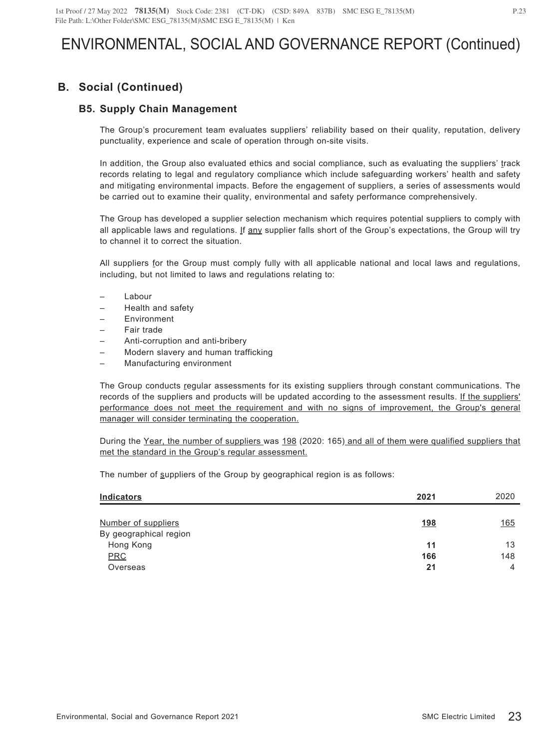# **B. Social (Continued)**

### **B5. Supply Chain Management**

The Group's procurement team evaluates suppliers' reliability based on their quality, reputation, delivery punctuality, experience and scale of operation through on-site visits.

In addition, the Group also evaluated ethics and social compliance, such as evaluating the suppliers' track records relating to legal and regulatory compliance which include safeguarding workers' health and safety and mitigating environmental impacts. Before the engagement of suppliers, a series of assessments would be carried out to examine their quality, environmental and safety performance comprehensively.

The Group has developed a supplier selection mechanism which requires potential suppliers to comply with all applicable laws and regulations. If any supplier falls short of the Group's expectations, the Group will try to channel it to correct the situation.

All suppliers for the Group must comply fully with all applicable national and local laws and regulations, including, but not limited to laws and regulations relating to:

- **Labour**
- Health and safety
- **Environment**
- Fair trade
- Anti-corruption and anti-bribery
- Modern slavery and human trafficking
- Manufacturing environment

The Group conducts regular assessments for its existing suppliers through constant communications. The records of the suppliers and products will be updated according to the assessment results. If the suppliers' performance does not meet the requirement and with no signs of improvement, the Group's general manager will consider terminating the cooperation.

During the Year, the number of suppliers was 198 (2020: 165) and all of them were qualified suppliers that met the standard in the Group's regular assessment.

The number of suppliers of the Group by geographical region is as follows:

| <b>Indicators</b>      | 2021       | 2020        |
|------------------------|------------|-------------|
|                        |            |             |
| Number of suppliers    | <u>198</u> | <u> 165</u> |
| By geographical region |            |             |
| Hong Kong              | 11         | 13          |
| <b>PRC</b>             | 166        | 148         |
| Overseas               | 21         | 4           |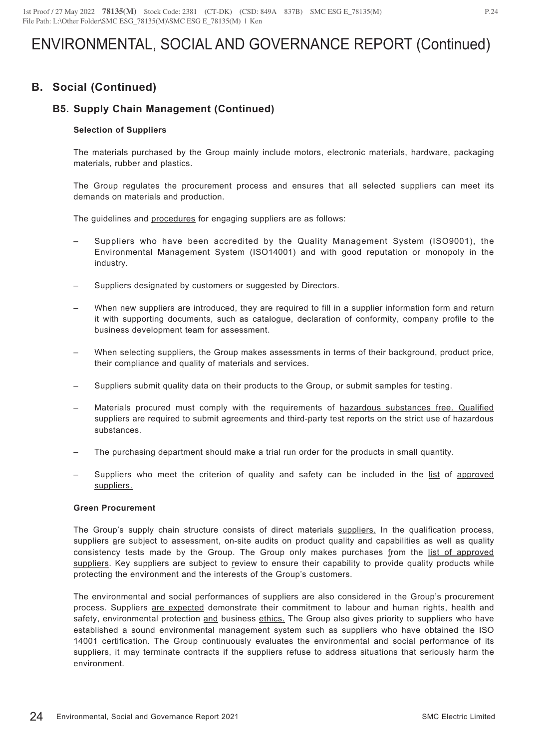## **B. Social (Continued)**

## **B5. Supply Chain Management (Continued)**

### **Selection of Suppliers**

The materials purchased by the Group mainly include motors, electronic materials, hardware, packaging materials, rubber and plastics.

The Group regulates the procurement process and ensures that all selected suppliers can meet its demands on materials and production.

The guidelines and procedures for engaging suppliers are as follows:

- Suppliers who have been accredited by the Quality Management System (ISO9001), the Environmental Management System (ISO14001) and with good reputation or monopoly in the industry.
- Suppliers designated by customers or suggested by Directors.
- When new suppliers are introduced, they are required to fill in a supplier information form and return it with supporting documents, such as catalogue, declaration of conformity, company profile to the business development team for assessment.
- When selecting suppliers, the Group makes assessments in terms of their background, product price, their compliance and quality of materials and services.
- Suppliers submit quality data on their products to the Group, or submit samples for testing.
- Materials procured must comply with the requirements of hazardous substances free. Qualified suppliers are required to submit agreements and third-party test reports on the strict use of hazardous substances.
- The purchasing department should make a trial run order for the products in small quantity.
- Suppliers who meet the criterion of quality and safety can be included in the list of approved suppliers.

#### **Green Procurement**

The Group's supply chain structure consists of direct materials suppliers. In the qualification process, suppliers are subject to assessment, on-site audits on product quality and capabilities as well as quality consistency tests made by the Group. The Group only makes purchases from the list of approved suppliers. Key suppliers are subject to review to ensure their capability to provide quality products while protecting the environment and the interests of the Group's customers.

The environmental and social performances of suppliers are also considered in the Group's procurement process. Suppliers are expected demonstrate their commitment to labour and human rights, health and safety, environmental protection and business ethics. The Group also gives priority to suppliers who have established a sound environmental management system such as suppliers who have obtained the ISO 14001 certification. The Group continuously evaluates the environmental and social performance of its suppliers, it may terminate contracts if the suppliers refuse to address situations that seriously harm the environment.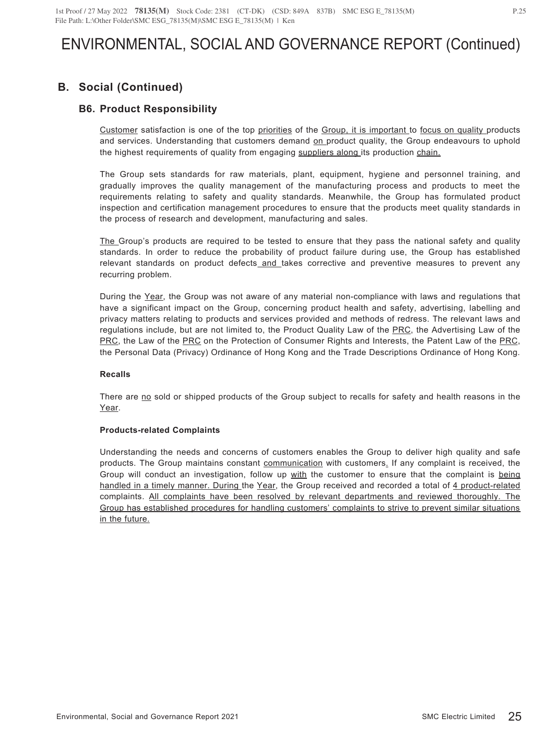# **B. Social (Continued)**

## **B6. Product Responsibility**

Customer satisfaction is one of the top priorities of the Group, it is important to focus on quality products and services. Understanding that customers demand on product quality, the Group endeavours to uphold the highest requirements of quality from engaging suppliers along its production chain.

The Group sets standards for raw materials, plant, equipment, hygiene and personnel training, and gradually improves the quality management of the manufacturing process and products to meet the requirements relating to safety and quality standards. Meanwhile, the Group has formulated product inspection and certification management procedures to ensure that the products meet quality standards in the process of research and development, manufacturing and sales.

The Group's products are required to be tested to ensure that they pass the national safety and quality standards. In order to reduce the probability of product failure during use, the Group has established relevant standards on product defects\_and\_takes corrective and preventive measures to prevent any recurring problem.

During the Year, the Group was not aware of any material non-compliance with laws and regulations that have a significant impact on the Group, concerning product health and safety, advertising, labelling and privacy matters relating to products and services provided and methods of redress. The relevant laws and regulations include, but are not limited to, the Product Quality Law of the PRC, the Advertising Law of the PRC, the Law of the PRC on the Protection of Consumer Rights and Interests, the Patent Law of the PRC, the Personal Data (Privacy) Ordinance of Hong Kong and the Trade Descriptions Ordinance of Hong Kong.

#### **Recalls**

There are no sold or shipped products of the Group subject to recalls for safety and health reasons in the Year.

### **Products-related Complaints**

Understanding the needs and concerns of customers enables the Group to deliver high quality and safe products. The Group maintains constant communication with customers. If any complaint is received, the Group will conduct an investigation, follow up with the customer to ensure that the complaint is being handled in a timely manner. During the Year, the Group received and recorded a total of 4 product-related complaints. All complaints have been resolved by relevant departments and reviewed thoroughly. The Group has established procedures for handling customers' complaints to strive to prevent similar situations in the future.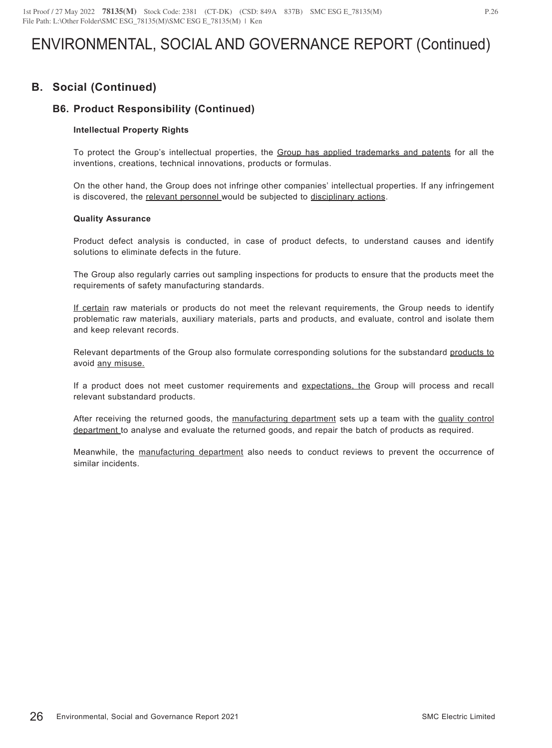## **B. Social (Continued)**

## **B6. Product Responsibility (Continued)**

### **Intellectual Property Rights**

To protect the Group's intellectual properties, the Group has applied trademarks and patents for all the inventions, creations, technical innovations, products or formulas.

On the other hand, the Group does not infringe other companies' intellectual properties. If any infringement is discovered, the relevant personnel would be subjected to disciplinary actions.

#### **Quality Assurance**

Product defect analysis is conducted, in case of product defects, to understand causes and identify solutions to eliminate defects in the future.

The Group also regularly carries out sampling inspections for products to ensure that the products meet the requirements of safety manufacturing standards.

If certain raw materials or products do not meet the relevant requirements, the Group needs to identify problematic raw materials, auxiliary materials, parts and products, and evaluate, control and isolate them and keep relevant records.

Relevant departments of the Group also formulate corresponding solutions for the substandard products to avoid any misuse.

If a product does not meet customer requirements and expectations, the Group will process and recall relevant substandard products.

After receiving the returned goods, the manufacturing department sets up a team with the quality control department to analyse and evaluate the returned goods, and repair the batch of products as required.

Meanwhile, the manufacturing department also needs to conduct reviews to prevent the occurrence of similar incidents.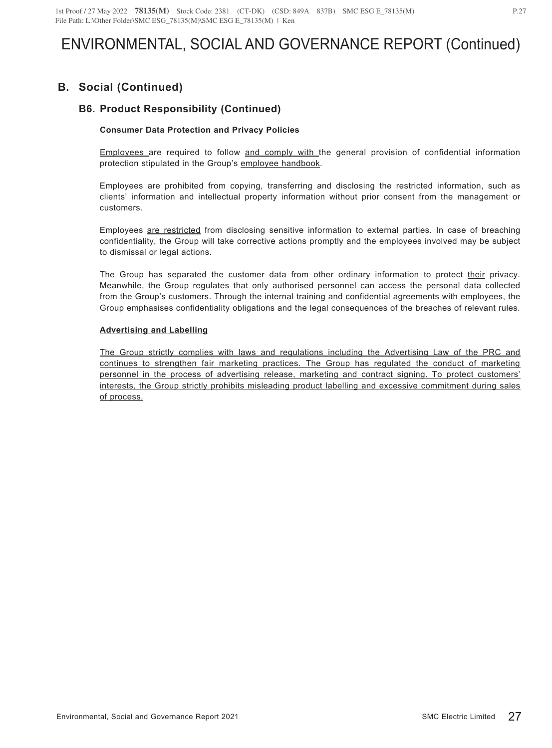# **B. Social (Continued)**

## **B6. Product Responsibility (Continued)**

### **Consumer Data Protection and Privacy Policies**

Employees are required to follow and comply with the general provision of confidential information protection stipulated in the Group's employee handbook.

Employees are prohibited from copying, transferring and disclosing the restricted information, such as clients' information and intellectual property information without prior consent from the management or customers.

Employees are restricted from disclosing sensitive information to external parties. In case of breaching confidentiality, the Group will take corrective actions promptly and the employees involved may be subject to dismissal or legal actions.

The Group has separated the customer data from other ordinary information to protect their privacy. Meanwhile, the Group regulates that only authorised personnel can access the personal data collected from the Group's customers. Through the internal training and confidential agreements with employees, the Group emphasises confidentiality obligations and the legal consequences of the breaches of relevant rules.

### **Advertising and Labelling**

The Group strictly complies with laws and regulations including the Advertising Law of the PRC and continues to strengthen fair marketing practices. The Group has regulated the conduct of marketing personnel in the process of advertising release, marketing and contract signing. To protect customers' interests, the Group strictly prohibits misleading product labelling and excessive commitment during sales of process.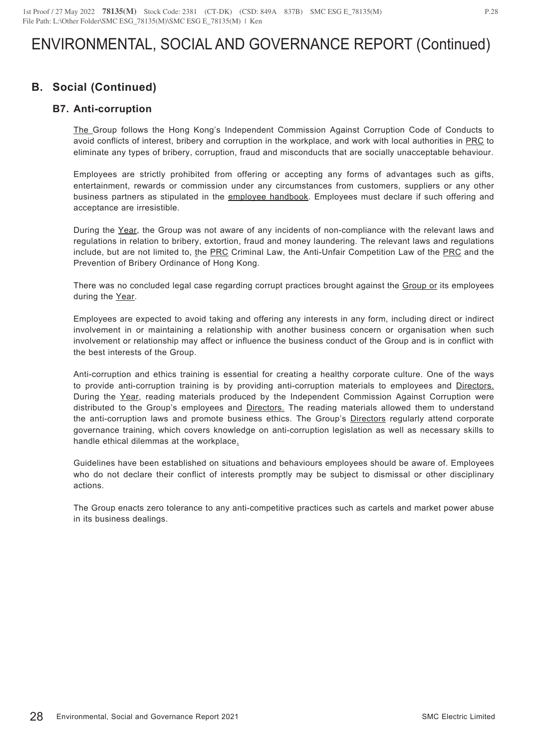## **B. Social (Continued)**

### **B7. Anti-corruption**

The Group follows the Hong Kong's Independent Commission Against Corruption Code of Conducts to avoid conflicts of interest, bribery and corruption in the workplace, and work with local authorities in PRC to eliminate any types of bribery, corruption, fraud and misconducts that are socially unacceptable behaviour.

Employees are strictly prohibited from offering or accepting any forms of advantages such as gifts, entertainment, rewards or commission under any circumstances from customers, suppliers or any other business partners as stipulated in the employee handbook. Employees must declare if such offering and acceptance are irresistible.

During the Year, the Group was not aware of any incidents of non-compliance with the relevant laws and regulations in relation to bribery, extortion, fraud and money laundering. The relevant laws and regulations include, but are not limited to, the PRC Criminal Law, the Anti-Unfair Competition Law of the PRC and the Prevention of Bribery Ordinance of Hong Kong.

There was no concluded legal case regarding corrupt practices brought against the Group or its employees during the Year.

Employees are expected to avoid taking and offering any interests in any form, including direct or indirect involvement in or maintaining a relationship with another business concern or organisation when such involvement or relationship may affect or influence the business conduct of the Group and is in conflict with the best interests of the Group.

Anti-corruption and ethics training is essential for creating a healthy corporate culture. One of the ways to provide anti-corruption training is by providing anti-corruption materials to employees and Directors. During the Year, reading materials produced by the Independent Commission Against Corruption were distributed to the Group's employees and **Directors**. The reading materials allowed them to understand the anti-corruption laws and promote business ethics. The Group's Directors regularly attend corporate governance training, which covers knowledge on anti-corruption legislation as well as necessary skills to handle ethical dilemmas at the workplace.

Guidelines have been established on situations and behaviours employees should be aware of. Employees who do not declare their conflict of interests promptly may be subject to dismissal or other disciplinary actions.

The Group enacts zero tolerance to any anti-competitive practices such as cartels and market power abuse in its business dealings.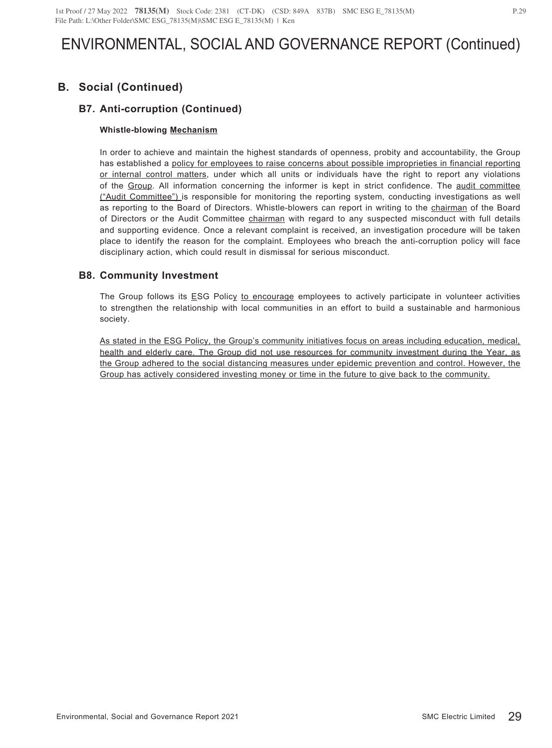# **B. Social (Continued)**

## **B7. Anti-corruption (Continued)**

### **Whistle-blowing Mechanism**

In order to achieve and maintain the highest standards of openness, probity and accountability, the Group has established a policy for employees to raise concerns about possible improprieties in financial reporting or internal control matters, under which all units or individuals have the right to report any violations of the Group. All information concerning the informer is kept in strict confidence. The audit committee ("Audit Committee") is responsible for monitoring the reporting system, conducting investigations as well as reporting to the Board of Directors. Whistle-blowers can report in writing to the chairman of the Board of Directors or the Audit Committee chairman with regard to any suspected misconduct with full details and supporting evidence. Once a relevant complaint is received, an investigation procedure will be taken place to identify the reason for the complaint. Employees who breach the anti-corruption policy will face disciplinary action, which could result in dismissal for serious misconduct.

### **B8. Community Investment**

The Group follows its ESG Policy to encourage employees to actively participate in volunteer activities to strengthen the relationship with local communities in an effort to build a sustainable and harmonious society.

As stated in the ESG Policy, the Group's community initiatives focus on areas including education, medical, health and elderly care. The Group did not use resources for community investment during the Year, as the Group adhered to the social distancing measures under epidemic prevention and control. However, the Group has actively considered investing money or time in the future to give back to the community.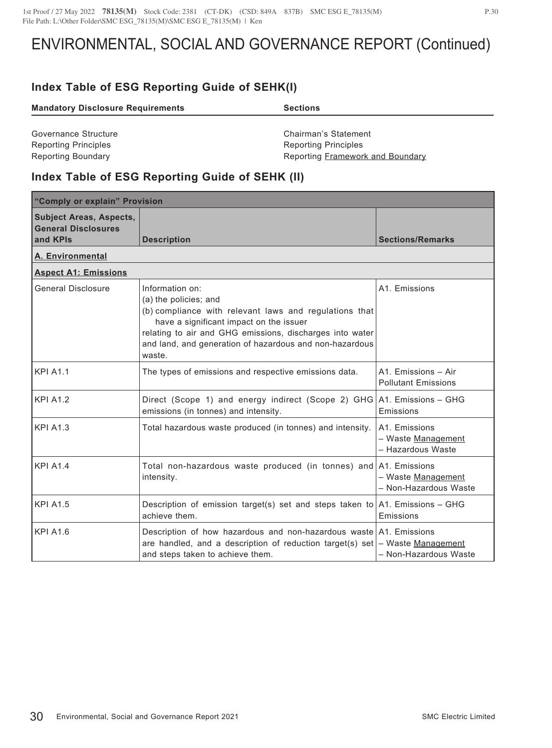# **Index Table of ESG Reporting Guide of SEHK(I)**

| <b>Mandatory Disclosure Requirements</b> | <b>Sections</b>                  |  |
|------------------------------------------|----------------------------------|--|
|                                          |                                  |  |
| Governance Structure                     | Chairman's Statement             |  |
| <b>Reporting Principles</b>              | <b>Reporting Principles</b>      |  |
| <b>Reporting Boundary</b>                | Reporting Framework and Boundary |  |

## **Index Table of ESG Reporting Guide of SEHK (II)**

| "Comply or explain" Provision                                            |                                                                                                                                                                                                                                                                                |                                                          |  |
|--------------------------------------------------------------------------|--------------------------------------------------------------------------------------------------------------------------------------------------------------------------------------------------------------------------------------------------------------------------------|----------------------------------------------------------|--|
| <b>Subject Areas, Aspects,</b><br><b>General Disclosures</b><br>and KPIs | <b>Description</b>                                                                                                                                                                                                                                                             | <b>Sections/Remarks</b>                                  |  |
| A. Environmental                                                         |                                                                                                                                                                                                                                                                                |                                                          |  |
| <b>Aspect A1: Emissions</b>                                              |                                                                                                                                                                                                                                                                                |                                                          |  |
| <b>General Disclosure</b>                                                | Information on:<br>(a) the policies; and<br>(b) compliance with relevant laws and regulations that<br>have a significant impact on the issuer<br>relating to air and GHG emissions, discharges into water<br>and land, and generation of hazardous and non-hazardous<br>waste. | A1. Emissions                                            |  |
| <b>KPI A1.1</b>                                                          | The types of emissions and respective emissions data.                                                                                                                                                                                                                          | A1. Emissions - Air<br><b>Pollutant Emissions</b>        |  |
| <b>KPI A1.2</b>                                                          | Direct (Scope 1) and energy indirect (Scope 2) GHG A1. Emissions – GHG<br>emissions (in tonnes) and intensity.                                                                                                                                                                 | Emissions                                                |  |
| <b>KPI A1.3</b>                                                          | Total hazardous waste produced (in tonnes) and intensity.                                                                                                                                                                                                                      | A1. Emissions<br>- Waste Management<br>- Hazardous Waste |  |
| <b>KPI A1.4</b>                                                          | Total non-hazardous waste produced (in tonnes) and A1. Emissions<br>intensity.                                                                                                                                                                                                 | - Waste Management<br>- Non-Hazardous Waste              |  |
| <b>KPI A1.5</b>                                                          | Description of emission target(s) set and steps taken to $ A1$ . Emissions – GHG<br>achieve them.                                                                                                                                                                              | Emissions                                                |  |
| <b>KPI A1.6</b>                                                          | Description of how hazardous and non-hazardous waste A1. Emissions<br>are handled, and a description of reduction target(s) set $-$ Waste Management<br>and steps taken to achieve them.                                                                                       | - Non-Hazardous Waste                                    |  |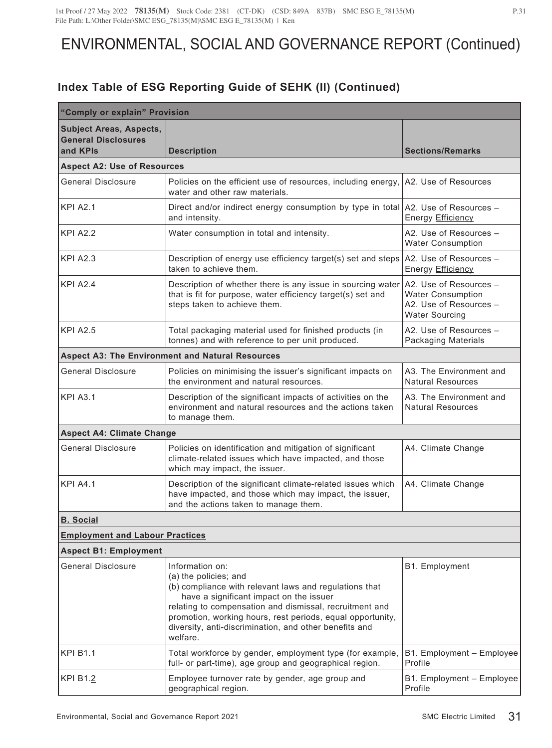| "Comply or explain" Provision                                            |                                                                                                                                                                                                                                                                                                                                              |                                                                                                       |  |
|--------------------------------------------------------------------------|----------------------------------------------------------------------------------------------------------------------------------------------------------------------------------------------------------------------------------------------------------------------------------------------------------------------------------------------|-------------------------------------------------------------------------------------------------------|--|
| <b>Subject Areas, Aspects,</b><br><b>General Disclosures</b><br>and KPIs | <b>Description</b>                                                                                                                                                                                                                                                                                                                           | <b>Sections/Remarks</b>                                                                               |  |
| <b>Aspect A2: Use of Resources</b>                                       |                                                                                                                                                                                                                                                                                                                                              |                                                                                                       |  |
| <b>General Disclosure</b>                                                | Policies on the efficient use of resources, including energy,<br>water and other raw materials.                                                                                                                                                                                                                                              | A2. Use of Resources                                                                                  |  |
| <b>KPI A2.1</b>                                                          | Direct and/or indirect energy consumption by type in total A2. Use of Resources -<br>and intensity.                                                                                                                                                                                                                                          | Energy Efficiency                                                                                     |  |
| <b>KPI A2.2</b>                                                          | Water consumption in total and intensity.                                                                                                                                                                                                                                                                                                    | A2. Use of Resources -<br><b>Water Consumption</b>                                                    |  |
| <b>KPI A2.3</b>                                                          | Description of energy use efficiency target(s) set and steps<br>taken to achieve them.                                                                                                                                                                                                                                                       | A2. Use of Resources -<br>Energy Efficiency                                                           |  |
| <b>KPI A2.4</b>                                                          | Description of whether there is any issue in sourcing water<br>that is fit for purpose, water efficiency target(s) set and<br>steps taken to achieve them.                                                                                                                                                                                   | A2. Use of Resources -<br><b>Water Consumption</b><br>A2. Use of Resources -<br><b>Water Sourcing</b> |  |
| <b>KPI A2.5</b>                                                          | Total packaging material used for finished products (in<br>tonnes) and with reference to per unit produced.                                                                                                                                                                                                                                  | A2. Use of Resources -<br><b>Packaging Materials</b>                                                  |  |
|                                                                          | <b>Aspect A3: The Environment and Natural Resources</b>                                                                                                                                                                                                                                                                                      |                                                                                                       |  |
| <b>General Disclosure</b>                                                | Policies on minimising the issuer's significant impacts on<br>the environment and natural resources.                                                                                                                                                                                                                                         | A3. The Environment and<br><b>Natural Resources</b>                                                   |  |
| <b>KPI A3.1</b>                                                          | Description of the significant impacts of activities on the<br>environment and natural resources and the actions taken<br>to manage them.                                                                                                                                                                                                    | A3. The Environment and<br><b>Natural Resources</b>                                                   |  |
| <b>Aspect A4: Climate Change</b>                                         |                                                                                                                                                                                                                                                                                                                                              |                                                                                                       |  |
| <b>General Disclosure</b>                                                | Policies on identification and mitigation of significant<br>climate-related issues which have impacted, and those<br>which may impact, the issuer.                                                                                                                                                                                           | A4. Climate Change                                                                                    |  |
| <b>KPI A4.1</b>                                                          | Description of the significant climate-related issues which<br>have impacted, and those which may impact, the issuer,<br>and the actions taken to manage them.                                                                                                                                                                               | A4. Climate Change                                                                                    |  |
| <b>B.</b> Social                                                         |                                                                                                                                                                                                                                                                                                                                              |                                                                                                       |  |
| <b>Employment and Labour Practices</b>                                   |                                                                                                                                                                                                                                                                                                                                              |                                                                                                       |  |
| <b>Aspect B1: Employment</b>                                             |                                                                                                                                                                                                                                                                                                                                              |                                                                                                       |  |
| <b>General Disclosure</b>                                                | Information on:<br>(a) the policies; and<br>(b) compliance with relevant laws and regulations that<br>have a significant impact on the issuer<br>relating to compensation and dismissal, recruitment and<br>promotion, working hours, rest periods, equal opportunity,<br>diversity, anti-discrimination, and other benefits and<br>welfare. | B1. Employment                                                                                        |  |
| <b>KPI B1.1</b>                                                          | Total workforce by gender, employment type (for example,<br>full- or part-time), age group and geographical region.                                                                                                                                                                                                                          | B1. Employment - Employee<br>Profile                                                                  |  |
| KPI B1.2                                                                 | Employee turnover rate by gender, age group and<br>geographical region.                                                                                                                                                                                                                                                                      | B1. Employment - Employee<br>Profile                                                                  |  |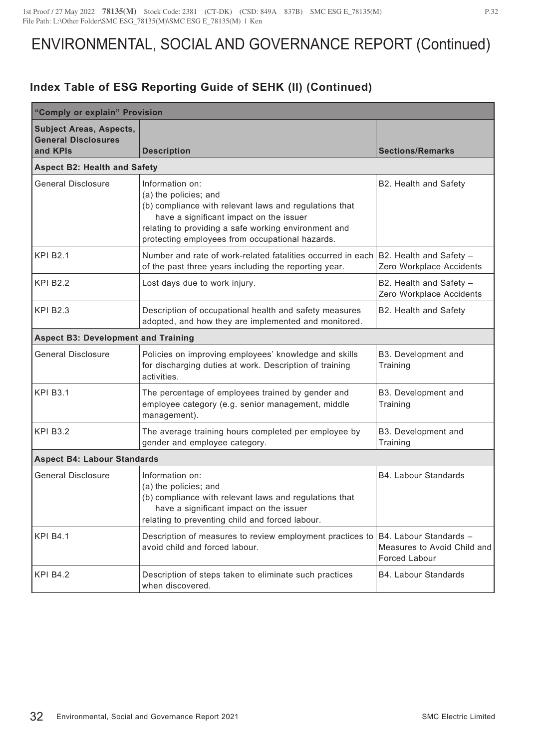| "Comply or explain" Provision                                            |                                                                                                                                                                                                                                                          |                                                                               |  |
|--------------------------------------------------------------------------|----------------------------------------------------------------------------------------------------------------------------------------------------------------------------------------------------------------------------------------------------------|-------------------------------------------------------------------------------|--|
| <b>Subject Areas, Aspects,</b><br><b>General Disclosures</b><br>and KPIs | <b>Description</b>                                                                                                                                                                                                                                       | <b>Sections/Remarks</b>                                                       |  |
| <b>Aspect B2: Health and Safety</b>                                      |                                                                                                                                                                                                                                                          |                                                                               |  |
| <b>General Disclosure</b>                                                | Information on:<br>(a) the policies; and<br>(b) compliance with relevant laws and regulations that<br>have a significant impact on the issuer<br>relating to providing a safe working environment and<br>protecting employees from occupational hazards. | B2. Health and Safety                                                         |  |
| <b>KPI B2.1</b>                                                          | Number and rate of work-related fatalities occurred in each<br>of the past three years including the reporting year.                                                                                                                                     | B2. Health and Safety -<br>Zero Workplace Accidents                           |  |
| <b>KPI B2.2</b>                                                          | Lost days due to work injury.                                                                                                                                                                                                                            | B2. Health and Safety -<br>Zero Workplace Accidents                           |  |
| <b>KPI B2.3</b>                                                          | Description of occupational health and safety measures<br>adopted, and how they are implemented and monitored.                                                                                                                                           | B2. Health and Safety                                                         |  |
| <b>Aspect B3: Development and Training</b>                               |                                                                                                                                                                                                                                                          |                                                                               |  |
| <b>General Disclosure</b>                                                | Policies on improving employees' knowledge and skills<br>for discharging duties at work. Description of training<br>activities.                                                                                                                          | B3. Development and<br>Training                                               |  |
| <b>KPI B3.1</b>                                                          | The percentage of employees trained by gender and<br>employee category (e.g. senior management, middle<br>management).                                                                                                                                   | B3. Development and<br>Training                                               |  |
| <b>KPI B3.2</b>                                                          | The average training hours completed per employee by<br>gender and employee category.                                                                                                                                                                    | B3. Development and<br>Training                                               |  |
| <b>Aspect B4: Labour Standards</b>                                       |                                                                                                                                                                                                                                                          |                                                                               |  |
| <b>General Disclosure</b>                                                | Information on:<br>(a) the policies; and<br>(b) compliance with relevant laws and regulations that<br>have a significant impact on the issuer<br>relating to preventing child and forced labour.                                                         | B4. Labour Standards                                                          |  |
| <b>KPI B4.1</b>                                                          | Description of measures to review employment practices to<br>avoid child and forced labour.                                                                                                                                                              | B4. Labour Standards -<br>Measures to Avoid Child and<br><b>Forced Labour</b> |  |
| <b>KPI B4.2</b>                                                          | Description of steps taken to eliminate such practices<br>when discovered.                                                                                                                                                                               | <b>B4. Labour Standards</b>                                                   |  |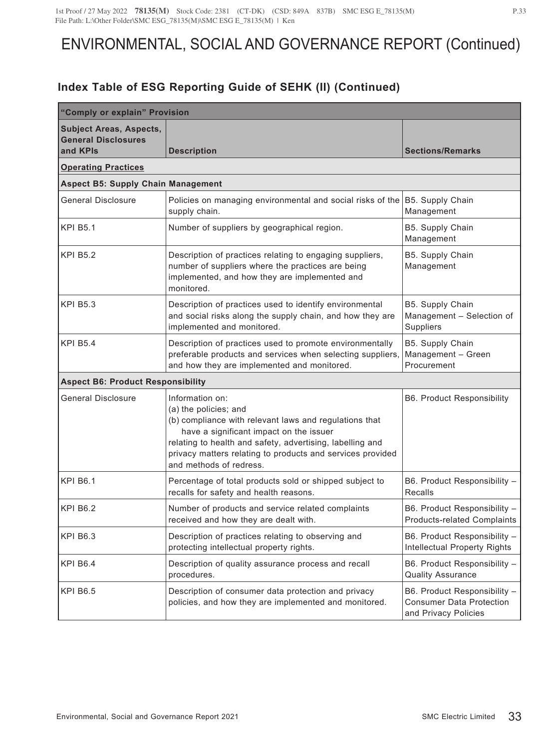| "Comply or explain" Provision                                            |                                                                                                                                                                                                                                                                                                     |                                                                                         |  |
|--------------------------------------------------------------------------|-----------------------------------------------------------------------------------------------------------------------------------------------------------------------------------------------------------------------------------------------------------------------------------------------------|-----------------------------------------------------------------------------------------|--|
| <b>Subject Areas, Aspects,</b><br><b>General Disclosures</b><br>and KPIs | <b>Description</b>                                                                                                                                                                                                                                                                                  | <b>Sections/Remarks</b>                                                                 |  |
| <b>Operating Practices</b>                                               |                                                                                                                                                                                                                                                                                                     |                                                                                         |  |
| <b>Aspect B5: Supply Chain Management</b>                                |                                                                                                                                                                                                                                                                                                     |                                                                                         |  |
| <b>General Disclosure</b>                                                | Policies on managing environmental and social risks of the B5. Supply Chain<br>supply chain.                                                                                                                                                                                                        | Management                                                                              |  |
| <b>KPI B5.1</b>                                                          | Number of suppliers by geographical region.                                                                                                                                                                                                                                                         | B5. Supply Chain<br>Management                                                          |  |
| <b>KPI B5.2</b>                                                          | Description of practices relating to engaging suppliers,<br>number of suppliers where the practices are being<br>implemented, and how they are implemented and<br>monitored.                                                                                                                        | B5. Supply Chain<br>Management                                                          |  |
| <b>KPI B5.3</b>                                                          | Description of practices used to identify environmental<br>and social risks along the supply chain, and how they are<br>implemented and monitored.                                                                                                                                                  | B5. Supply Chain<br>Management - Selection of<br>Suppliers                              |  |
| <b>KPI B5.4</b>                                                          | Description of practices used to promote environmentally<br>preferable products and services when selecting suppliers,<br>and how they are implemented and monitored.                                                                                                                               | B5. Supply Chain<br>Management - Green<br>Procurement                                   |  |
| <b>Aspect B6: Product Responsibility</b>                                 |                                                                                                                                                                                                                                                                                                     |                                                                                         |  |
| <b>General Disclosure</b>                                                | Information on:<br>(a) the policies; and<br>(b) compliance with relevant laws and regulations that<br>have a significant impact on the issuer<br>relating to health and safety, advertising, labelling and<br>privacy matters relating to products and services provided<br>and methods of redress. | <b>B6. Product Responsibility</b>                                                       |  |
| <b>KPI B6.1</b>                                                          | Percentage of total products sold or shipped subject to<br>recalls for safety and health reasons.                                                                                                                                                                                                   | B6. Product Responsibility -<br>Recalls                                                 |  |
| <b>KPI B6.2</b>                                                          | Number of products and service related complaints<br>received and how they are dealt with.                                                                                                                                                                                                          | B6. Product Responsibility -<br><b>Products-related Complaints</b>                      |  |
| <b>KPI B6.3</b>                                                          | Description of practices relating to observing and<br>protecting intellectual property rights.                                                                                                                                                                                                      | B6. Product Responsibility -<br>Intellectual Property Rights                            |  |
| <b>KPI B6.4</b>                                                          | Description of quality assurance process and recall<br>procedures.                                                                                                                                                                                                                                  | B6. Product Responsibility -<br><b>Quality Assurance</b>                                |  |
| <b>KPI B6.5</b>                                                          | Description of consumer data protection and privacy<br>policies, and how they are implemented and monitored.                                                                                                                                                                                        | B6. Product Responsibility -<br><b>Consumer Data Protection</b><br>and Privacy Policies |  |